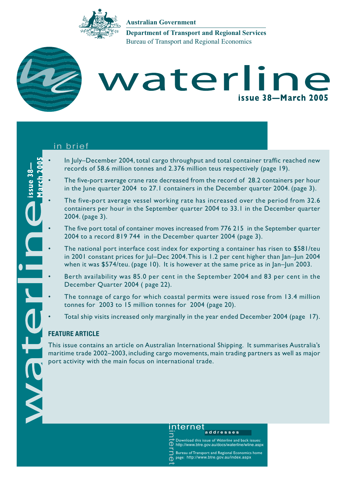

**Australian Government**

Bureau of Transport and Regional Economics **Department of Transport and Regional Services**



**issue 38—**

issue 38-

## waterline **issue 38—March 2005**

#### in brief

- records of 58.6 million tonnes and 2.376 million teus respectively (page 19).
- In July–December 2004, total cargo throughput and total container traffic reached new<br>records of 58.6 million tonnes and 2.376 million teus respectively (page 19).<br>The five-port average crane rate decreased from the record • The five-port average crane rate decreased from the record of 28.2 containers per hour in the June quarter 2004 to 27.1 containers in the December quarter 2004. (page 3).
	- The five-port average vessel working rate has increased over the period from 32.6 containers per hour in the September quarter 2004 to 33.1 in the December quarter 2004. (page 3).
	- The five port total of container moves increased from 776 215 in the September quarter 2004 to a record 819 744 in the December quarter 2004 (page 3).
	- The national port interface cost index for exporting a container has risen to \$581/teu in 2001 constant prices for Jul–Dec 2004.This is 1.2 per cent higher than Jan–Jun 2004 when it was \$574/teu. (page 10). It is however at the same price as in Jan–Jun 2003.
	- Berth availability was 85.0 per cent in the September 2004 and 83 per cent in the December Quarter 2004 ( page 22).
	- The tonnage of cargo for which coastal permits were issued rose from 13.4 million tonnes for 2003 to 15 million tonnes for 2004 (page 20).
	- Total ship visits increased only marginally in the year ended December 2004 (page 17).

#### **FEATURE ARTICLE**

This issue contains an article on Australian International Shipping. It summarises Australia's maritime trade 2002–2003, including cargo movements, main trading partners as well as major port activity with the main focus on international trade.

**D** http://www.btre.gov.au/docs/waterline/wline.aspx

Bureau of Transport and Regional Economics home page: http://www.btre.gov.au/index.aspx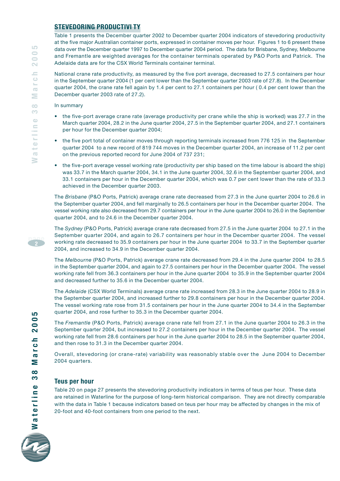#### **STEVEDORING PRODUCTIVI TY**

Table 1 presents the December quarter 2002 to December quarter 2004 indicators of stevedoring productivity at the five major Australian container ports, expressed in container moves per hour. Figures 1 to 6 present these data over the December quarter 1997 to December quarter 2004 period. The data for Brisbane, Sydney, Melbourne and Fremantle are weighted averages for the container terminals operated by P&O Ports and Patrick. The Adelaide data are for the CSX World Terminals container terminal.

National crane rate productivity, as measured by the five port average, decreased to 27.5 containers per hour in the September quarter 2004 (1 per cent lower than the September quarter 2003 rate of 27.8). In the December quarter 2004, the crane rate fell again by 1.4 per cent to 27.1 containers per hour ( 0.4 per cent lower than the December quarter 2003 rate of 27.2).

In summary

- the five-port average crane rate (average productivity per crane while the ship is worked) was 27.7 in the March quarter 2004, 28.2 in the June quarter 2004, 27.5 in the September quarter 2004, and 27.1 containers per hour for the December quarter 2004;
- the five port total of container moves through reporting terminals increased from 776 125 in the September quarter 2004 to a new record of 819 744 moves in the December quarter 2004, an increase of 11.2 per cent on the previous reported record for June 2004 of 737 231;
- the five-port average vessel working rate (productivity per ship based on the time labour is aboard the ship) was 33.7 in the March quarter 2004, 34.1 in the June quarter 2004, 32.6 in the September quarter 2004, and 33.1 containers per hour in the December quarter 2004, which was 0.7 per cent lower than the rate of 33.3 achieved in the December quarter 2003.

The *Brisbane* (P&O Ports, Patrick) average crane rate decreased from 27.3 in the June quarter 2004 to 26.6 in the September quarter 2004, and fell marginally to 26.5 containers per hour in the December quarter 2004. The vessel working rate also decreased from 29.7 containers per hour in the June quarter 2004 to 26.0 in the September quarter 2004, and to 24.6 in the December quarter 2004.

The *Sydney* (P&O Ports, Patrick) average crane rate decreased from 27.5 in the June quarter 2004 to 27.1 in the September quarter 2004, and again to 26.7 containers per hour in the December quarter 2004. The vessel working rate decreased to 35.9 containers per hour in the June quarter 2004 to 33.7 in the September quarter 2004, and increased to 34.9 in the December quarter 2004.

The *Melbourne* (P&O Ports, Patrick) average crane rate decreased from 29.4 in the June quarter 2004 to 28.5 in the September quarter 2004, and again to 27.5 containers per hour in the December quarter 2004. The vessel working rate fell from 36.3 containers per hour in the June quarter 2004 to 35.9 in the September quarter 2004 and decreased further to 35.6 in the December quarter 2004.

The *Adelaide* (CSX World Terminals) average crane rate increased from 28.3 in the June quarter 2004 to 28.9 in the September quarter 2004, and increased further to 29.8 containers per hour in the December quarter 2004. The vessel working rate rose from 31.5 containers per hour in the June quarter 2004 to 34.4 in the September quarter 2004, and rose further to 35.3 in the December quarter 2004.

The *Fremantle* (P&O Ports, Patrick) average crane rate fell from 27.1 in the June quarter 2004 to 26.3 in the September quarter 2004, but increased to 27.2 containers per hour in the December quarter 2004. The vessel working rate fell from 28.6 containers per hour in the June quarter 2004 to 28.5 in the September quarter 2004, and then rose to 31.3 in the December quarter 2004.

Overall, stevedoring (or crane-rate) variability was reasonably stable over the June 2004 to December 2004 quarters.

#### **Teus per hour**

Table 20 on page 27 presents the stevedoring productivity indicators in terms of teus per hour. These data are retained in Waterline for the purpose of long-term historical comparison. They are not directly comparable with the data in Table 1 because indicators based on teus per hour may be affected by changes in the mix of 20-foot and 40-foot containers from one period to the next.



**page2**

LO **2005** 

arch

Σ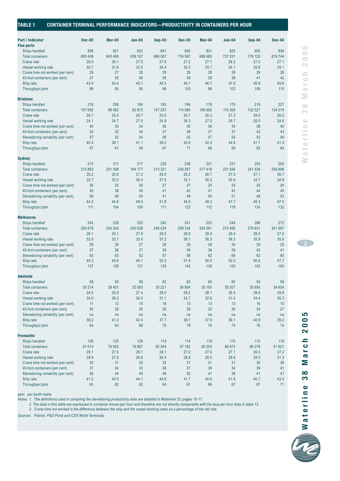| <b>Port / Indicator</b><br><b>Five ports</b> | <b>Dec-02</b> | Mar-03   | $Jun-03$ | $Sep-03$ | <b>Dec-03</b> | Mar-04  | <b>Jun-04</b> | $Sep-04$ | Dec-04  |
|----------------------------------------------|---------------|----------|----------|----------|---------------|---------|---------------|----------|---------|
| Ships handled                                | 856           | 821      | 822      | 841      | 850           | 801     | 825           | 905      | 936     |
| <b>Total containers</b>                      | 685 458       | 643 406  | 639 157  | 686 067  | 734 597       | 698 685 | 737 231       | 776 125  | 819744  |
| Crane rate                                   | 26.0          | 26.1     | 27.5     | 27.8     | 27.2          | 27.7    | 28.2          | 27.5     | 27.1    |
| Vessel working rate                          | 30.7          | 31.6     | 32.5     | 34.4     | 33.3          | 33.7    | 34.1          | 32.6     | 33.1    |
| Crane time not worked (per cent)             | 29            | 27       | 28       | 29       | 28            | 28      | 28            | 29       | 28      |
| 40-foot containers (per cent)                | 37            | 35       | 36       | 39       | 39            | 38      | 38            | 41       | 42      |
| Ship rate                                    | 43.4          | 43.4     | 45.1     | 48.3     | 46.1          | 46.7    | 47.6          | 45.9     | 45.6    |
| Throughput pbm                               | 96            | 90       | 90       | 96       | 103           | 98      | 103           | 109      | 115     |
|                                              |               |          |          |          |               |         |               |          |         |
| <b>Brisbane</b>                              |               |          |          |          |               |         |               |          |         |
| Ships handled                                | 216           | 206      | 184      | 192      | 194           | 179     | 175           | 219      | 227     |
| <b>Total containers</b>                      | 107 692       | 98 4 82  | 92 872   | 107 257  | 114 580       | 106 652 | 110 300       | 132 527  | 134 274 |
| Crane rate                                   | 26.7          | 25.5     | 26.7     | 25.5     | 25.7          | 26.3    | 27.3          | 26.6     | 26.5    |
| Vessel working rate                          | 24.1          | 24.7     | 27.0     | 24.9     | 26.3          | 27.0    | 29.7          | 26.0     | 24.6    |
| Crane time not worked (per cent)             | 40            | 35       | 34       | 36       | 35            | 36      | 34            | 38       | 40      |
| 40-foot containers (per cent)                | 34            | 32       | 34       | 37       | 38            | 37      | 37            | 42       | 43      |
| Stevedoring variability (per cent)           | 57            | 52       | 54       | 58       | 52            | 57      | 54            | 53       | 56      |
| Ship rate                                    | 40.4          | 38.1     | 41.1     | 39.2     | 40.6          | 42.2    | 44.8          | 41.7     | 41.3    |
| Throughput pbm                               | 67            | 61       | 58       | 67       | 71            | 66      | 69            | 82       | 84      |
|                                              |               |          |          |          |               |         |               |          |         |
| <b>Sydney</b>                                |               |          |          |          |               |         |               |          |         |
| Ships handled                                | 210           | 211      | 217      | 228      | 238           | 221     | 231           | 253      | 262     |
| <b>Total containers</b>                      | 215 863       | 201 358  | 194 177  | 215 321  | 236 567       | 217 419 | 231 556       | 241 539  | 256 898 |
| Crane rate                                   | 25.2          | 25.9     | 27.2     | 28.0     | 26.2          | 26.7    | 27.5          | 27.1     | 26.7    |
| Vessel working rate                          | 32.7          | 33.5     | 35.4     | 37.8     | 33.1          | 36.2    | 35.9          | 33.7     | 34.9    |
| Crane time not worked (per cent)             | 26            | 25       | 26       | 27       | 27            | 25      | 25            | 25       | 26      |
| 40-foot containers (per cent)                | 40            | 38       | 40       | 41       | 42            | 41      | 42            | 44       | 45      |
| Stevedoring variability (per cent)           | 56            | 48       | 50       | 41       | 49            | 54      | 51            | 48       | 53      |
| Ship rate                                    | 44.2          | 44.8     | 48.0     | 51.8     | 45.5          | 48.2    | 47.7          | 45.3     | 47.0    |
| Throughput pbm                               | 111           | 104      | 100      | 111      | 122           | 112     | 119           | 124      | 132     |
| <b>Melbourne</b>                             |               |          |          |          |               |         |               |          |         |
| Ships handled                                | 243           | 229      | 235      | 240      | 241           | 223     | 244           | 266      | 272     |
| <b>Total containers</b>                      | 250 679       | 234 243  | 240 028  | 246 024  | 259 334       | 254 261 | 273 495       | 279 831  | 301 997 |
| Crane rate                                   | 26.1          | 26.1     | 27.8     | 28.5     | 28.6          | 29.3    | 29.4          | 28.5     | 27.5    |
| Vessel working rate                          | 32.0          | 33.7     | 33.0     | 37.2     | 38.1          | 36.5    | 36.3          | 35.9     | 35.6    |
| Crane time not worked (per cent)             | 29            | 26       | 27       | 28       | 26            | 28      | 30            | 29       | 25      |
| 40-foot containers (per cent)                | 37            | 36       | 37       | 39       | 39            | 38      | 39            | 42       | 41      |
| Stevedoring variability (per cent)           | 63            | 63       | 52       | 57       | 58            | 62      | 66            | 62       | 65      |
| Ship rate                                    | 45.3          | 45.6     | 45.1     | 52.0     | 51.6          | 50.5    | 52.0          | 50.6     | 47.7    |
| Throughput pbm                               | 137           | 128      | 131      | 135      | 142           | 139     | 150           | 153      | 165     |
|                                              |               |          |          |          |               |         |               |          |         |
| <b>Adelaide</b>                              |               |          |          |          |               |         |               |          |         |
| Ships handled                                | 58            | 50       | 58       | 62       | 63            | 60      | 60            | 54       | 56      |
| <b>Total containers</b>                      | 30 214        | 29 4 0 1 | 32 093   | 35 221   | 36 954        | 35 100  | 35 207        | 35 950   | 34 654  |
| Crane rate                                   | 24.0          | 25.9     | 27.4     | 28.0     | 28.2          | 28.1    | 28.3          | 28.9     | 29.8    |
| Vessel working rate                          | 34.0          | 36.2     | 36.0     | 31.1     | 33.7          | 32.8    | 31.5          | 34.4     | 35.3    |
| Crane time not worked (per cent)             | 11            | 12       | 15       | 18       | 13            | 13      | 13            | 16       | 10      |
| 40-foot containers (per cent)                | 30            | 28       | 25       | 26       | 29            | 25      | 26            | 24       | 27      |
| Stevedoring variability (per cent)           | na            | na       | na       | na       | na            | na      | na            | na       | na      |
| Ship rate                                    | 38.2          | 41.3     | 42.4     | 37.7     | 38.7          | 37.9    | 36.1          | 40.9     | 39.2    |
| Throughput pbm                               | 64            | 63       | 68       | 75       | 79            | 75      | 75            | 76       | 74      |
|                                              |               |          |          |          |               |         |               |          |         |
| <b>Fremantle</b>                             |               |          |          |          |               |         |               |          |         |
| Ships handled                                | 129           | 125      | 128      | 119      | 114           | 118     | 115           | 113      | 119     |
| <b>Total containers</b>                      | 81 010        | 79 922   | 79 987   | 82 244   | 87 162        | 85 253  | 86 673        | 86 278   | 91 921  |
| Crane rate                                   | 28.1          | 27.5     | 28.1     | 28.1     | 27.0          | 27.0    | 27.1          | 26.3     | 27.2    |
| Vessel working rate                          | 28.9          | 27.8     | 28.6     | 30.4     | 28.8          | 28.0    | 28.6          | 28.5     | 31.3    |
| Crane time not worked (per cent)             | 30            | 31       | 35       | 32       | 31            | 31      | 31            | 30       | 28      |
| 40-foot containers (per cent)                | 37            | 34       | 33       | 38       | 37            | 36      | 34            | 39       | 41      |
| Stevedoring variability (per cent)           | 36            | 44       | 49       | 46       | 52            | 41      | 38            | 41       | 41      |
| Ship rate                                    | 41.2          | 40.5     | 44.1     | 44.9     | 41.7          | 40.6    | 41.6          | 40.7     | 43.4    |
|                                              | 63            | 62       | 62       | 64       | 67            | 66      | 67            | 67       | 71      |

*pbm per berth metre*

*Notes 1. The definitions used in compiling the stevedoring productivity data are detailed in Waterline 33, pages 15-17.*

*2. The data in this table are expressed in container moves per hour and therefore are not directly comparable with the teus per hour data in table 13.*

*3. Crane time not worked is the difference between the ship and the vessel working rates as a percentage of the net rate.*

*Sources Patrick, P&O Ports and CSX World Terminals.*



⋝  $\infty$  $\overline{3}$ 

**page <sup>3</sup>**

**Waterline 38 March 2005**

 $\frac{8}{3}$ 

Waterline

 $\sum$ 

arch

2005

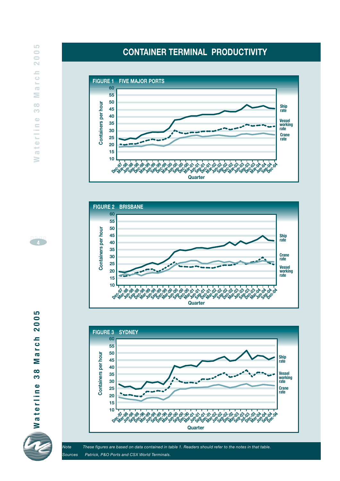#### **FIGURE 1 FIVE MAJOR PORTS 60 55 50** Containers per hour **Containers per hour Ship rate 45 40 Vessel working rate 35 30 Crane 25 rate 20 15 10 Jun Sep-01 Dec-01 Mar-02 Jun-02 Sep-02 Dec-02 Mar-03 Jun-03 Sep-03 Dec-03 Mar-04 Jun-04 Sep-04 Dec-04 -01 Dec-97 Mar-98 Jun-98 Sep-98 Dec-98 Mar-99 Jun-99 Sep-99 Dec-99 Mar-00 Jun-00 Sep-00 Dec-00 Mar-01 Quarter**

**CONTAINER TERMINAL PRODUCTIVITY**





*Note These figures are based on data contained in table 1. Readers should refer to the notes in that table. Sources Patrick, P&O Ports and CSX World Terminals.*

2005 arch Σ  $\infty$ S Waterline

**page4**

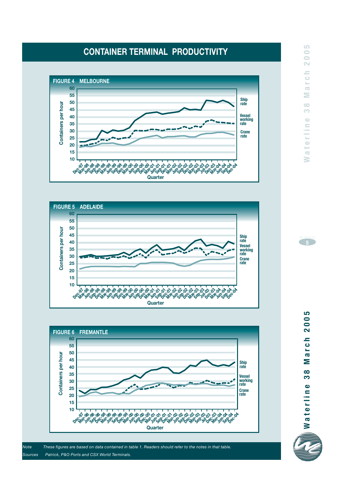## **CONTAINER TERMINAL PRODUCTIVITY**







*Note These figures are based on data contained in table 1. Readers should refer to the notes in that table. Sources Patrick, P&O Ports and CSX World Terminals.*

LO<sub>1</sub>



2005 **Waterline 38 March 2005** r c h  $\overline{\mathbf{c}}$ Σ  $\infty$ က  $\bullet$ Waterlin

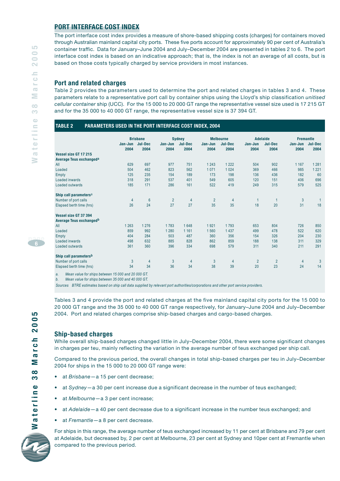#### **PORT INTERFACE COST INDEX**

The port interface cost index provides a measure of shore-based shipping costs (charges) for containers moved through Australian mainland capital city ports. These five ports account for approximately 90 per cent of Australia's container traffic. Data for January–June 2004 and July–December 2004 are presented in tables 2 to 6. The port interface cost index is based on an indicative approach; that is, the index is not an average of all costs, but is based on those costs typically charged by service providers in most instances.

#### **Port and related charges**

Table 2 provides the parameters used to determine the port and related charges in tables 3 and 4. These parameters relate to a representative port call by container ships using the Lloyd's ship classification *unitised cellular container* ship (UCC). For the 15 000 to 20 000 GT range the representative vessel size used is 17 215 GT and for the 35 000 to 40 000 GT range, the representative vessel size is 37 394 GT.

|                                     |                 | <b>Brisbane</b> |                 | <b>Sydney</b>          |                 | <b>Melbourne</b> |                 | <b>Adelaide</b>        |                 | <b>Fremantle</b> |
|-------------------------------------|-----------------|-----------------|-----------------|------------------------|-----------------|------------------|-----------------|------------------------|-----------------|------------------|
|                                     | Jan-Jun<br>2004 | Jul-Dec<br>2004 | Jan-Jun<br>2004 | <b>Jul-Dec</b><br>2004 | Jan-Jun<br>2004 | Jul-Dec<br>2004  | Jan-Jun<br>2004 | <b>Jul-Dec</b><br>2004 | Jan-Jun<br>2004 | Jul-Dec<br>2004  |
| Vessel size GT 17 215               |                 |                 |                 |                        |                 |                  |                 |                        |                 |                  |
| Average Teus exchanged <sup>a</sup> |                 |                 |                 |                        |                 |                  |                 |                        |                 |                  |
| All                                 | 629             | 697             | 977             | 751                    | 1 2 4 3         | 1 2 2 2          | 504             | 902                    | 1 1 6 7         | 1 2 8 1          |
| Loaded                              | 504             | 462             | 823             | 562                    | 1071            | 1 0 2 4          | 369             | 466                    | 985             | 1 2 2 1          |
| Empty                               | 125             | 235             | 154             | 189                    | 173             | 198              | 136             | 436                    | 182             | 60               |
| <b>Loaded inwards</b>               | 318             | 291             | 537             | 401                    | 549             | 605              | 120             | 151                    | 406             | 696              |
| Loaded outwards                     | 185             | 171             | 286             | 161                    | 522             | 419              | 249             | 315                    | 579             | 525              |
| Ship call parameters <sup>a</sup>   |                 |                 |                 |                        |                 |                  |                 |                        |                 |                  |
| Number of port calls                | $\overline{4}$  | $6\phantom{1}6$ | $\overline{2}$  | $\overline{4}$         | $\overline{2}$  | $\overline{4}$   | $\mathbf{1}$    |                        | 3               |                  |
| Elapsed berth time (hrs)            | 26              | 24              | 27              | 27                     | 35              | 35               | 18              | 20                     | 31              | 18               |
| Vessel size GT 37 394               |                 |                 |                 |                        |                 |                  |                 |                        |                 |                  |
| Average Teus exchanged <sup>b</sup> |                 |                 |                 |                        |                 |                  |                 |                        |                 |                  |
| All                                 | 1 2 6 3         | 1 2 7 6         | 1783            | 1648                   | 1921            | 1793             | 653             | 804                    | 726             | 850              |
| Loaded                              | 859             | 992             | 1 2 8 0         | 1 1 6 1                | 1560            | 1 4 3 7          | 499             | 478                    | 522             | 620              |
| Empty                               | 404             | 284             | 503             | 487                    | 360             | 356              | 154             | 326                    | 204             | 230              |
| Loaded inwards                      | 498             | 632             | 885             | 828                    | 862             | 859              | 188             | 138                    | 311             | 329              |
| Loaded outwards                     | 361             | 360             | 396             | 334                    | 698             | 579              | 311             | 340                    | 211             | 291              |
| Ship call parameters <sup>b</sup>   |                 |                 |                 |                        |                 |                  |                 |                        |                 |                  |
| Number of port calls                | 3               | $\overline{4}$  | 3               | $\overline{4}$         | 3               | $\overline{4}$   | $\overline{2}$  | $\overline{2}$         | 4               | 3                |
| Elapsed berth time (hrs)            | 34              | 34              | 36              | 34                     | 38              | 39               | 20              | 23                     | 24              | 14               |

*a. Mean value for ships between 15 000 and 20 000 GT. b. Mean value for ships between 35 000 and 40 000 GT.*

*Sources BTRE estimates based on ship call data supplied by relevant port authorities/corporations and other port service providers.*

Tables 3 and 4 provide the port and related charges at the five mainland capital city ports for the 15 000 to 20 000 GT range and the 35 000 to 40 000 GT range respectively, for January–June 2004 and July–December 2004. Port and related charges comprise ship-based charges and cargo-based charges.

#### **Ship-based charges**

While overall ship-based charges changed little in July–December 2004, there were some significant changes in charges per teu, mainly reflecting the variation in the average number of teus exchanged per ship call.

Compared to the previous period, the overall changes in total ship-based charges per teu in July–December 2004 for ships in the 15 000 to 20 000 GT range were:

- at *Brisbane*—a 15 per cent decrease;
- at *Sydney*—a 30 per cent increase due a significant decrease in the number of teus exchanged;
- at *Melbourne*—a 3 per cent increase;
- at *Adelaide*—a 40 per cent decrease due to a significant increase in the number teus exchanged; and
- at *Fremantle*—a 8 per cent decrease.

For ships in this range, the average number of teus exchanged increased by 11 per cent at Brisbane and 79 per cent at Adelaide, but decreased by, 2 per cent at Melbourne, 23 per cent at Sydney and 10per cent at Fremantle when compared to the previous period.



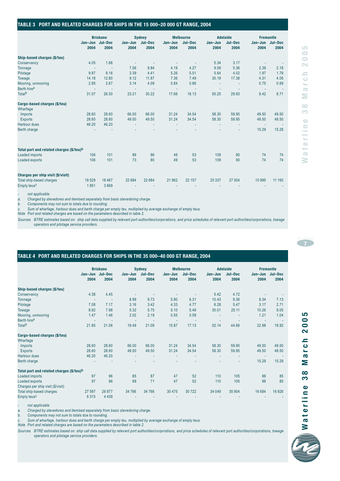#### **TABLE 3 PORT AND RELATED CHARGES FOR SHIPS IN THE 15 000–20 000 GT RANGE, 2004**

|                                          |                         | <b>Brisbane</b> |                 | <b>Sydney</b>   |                 | <b>Melbourne</b> |                 | <b>Adelaide</b> |                         | <b>Fremantle</b> |
|------------------------------------------|-------------------------|-----------------|-----------------|-----------------|-----------------|------------------|-----------------|-----------------|-------------------------|------------------|
|                                          | Jan-Jun Jul-Dec<br>2004 | 2004            | Jan-Jun<br>2004 | Jul-Dec<br>2004 | Jan-Jun<br>2004 | Jul-Dec<br>2004  | Jan-Jun<br>2004 | Jul-Dec<br>2004 | Jan-Jun Jul-Dec<br>2004 | 2004             |
| Ship-based charges (\$/teu)              |                         |                 |                 |                 |                 |                  |                 |                 |                         |                  |
| Conservancy                              | 4.05                    | 1.88            | ٠               |                 | ٠               | ×,               | 5.34            | 3.17            | ٠                       |                  |
| <b>Tonnage</b>                           | ٠                       | ÷,              | 7.56            | 9.84            | 4.19            | 4.27             | 9.09            | 5.36            | 2.39                    | 2.18             |
| Pilotage                                 | 9.87                    | 9.16            | 3.39            | 4.41            | 5.26            | 5.51             | 5.64            | 4.02            | 1.97                    | 1.79             |
| Towage                                   | 14.18                   | 12.80           | 9.12            | 11.87           | 7.36            | 7.49             | 30.19           | 17.38           | 4.31                    | 4.05             |
| Mooring, unmooring                       | 2.95                    | 2.67            | 3.14            | 4.09            | 0.84            | 0.86             | ٠               | ٠               | 0.75                    | 0.69             |
| Berth hirea                              | ٠                       |                 | $\sim$          | ×,              | $\mathbf{r}$    | ÷,               | ٠               |                 | $\sim$                  |                  |
| Total <sup>b</sup>                       | 31.07                   | 26.50           | 23.21           | 30.22           | 17.66           | 18.13            | 50.25           | 29.93           | 9.42                    | 8.71             |
| Cargo-based charges (\$/teu)             |                         |                 |                 |                 |                 |                  |                 |                 |                         |                  |
| Wharfage                                 |                         |                 |                 |                 |                 |                  |                 |                 |                         |                  |
| Imports                                  | 28.60                   | 28.60           | 66.00           | 66.00           | 31.24           | 34.54            | 58.30           | 59.95           | 49.50                   | 49.50            |
| <b>Exports</b>                           | 28.60                   | 28.60           | 49.50           | 49.50           | 31.24           | 34.54            | 58.30           | 59.95           | 49.50                   | 49.50            |
| <b>Harbour dues</b>                      | 46.20                   | 46.20           | ٠.              |                 |                 |                  |                 |                 | $\sim$                  |                  |
| Berth charge                             |                         |                 |                 |                 |                 |                  |                 | ٠               | 15.29                   | 15.29            |
| Total port and related charges (\$/teu)b |                         |                 |                 |                 |                 |                  |                 |                 |                         |                  |
| Loaded imports                           | 106                     | 101             | 89              | 96              | 49              | 53               | 109             | 90              | 74                      | 74               |
| Loaded exports                           | 106                     | 101             | 73              | 80              | 49              | 53               | 109             | 90              | 74                      | 74               |
|                                          |                         |                 |                 |                 |                 |                  |                 |                 |                         |                  |
| Charges per ship visit (\$/visit)        |                         |                 |                 |                 |                 |                  |                 |                 |                         |                  |
| Total ship-based charges                 | 19529                   | 18 4 67         | 22 684          | 22 684          | 21 962          | 22 157           | 25 3 3 7        | 27 004          | 10 995                  | 11 160           |
| Empty teus <sup>c</sup>                  | 1951                    | 3669            |                 |                 |                 |                  |                 |                 |                         |                  |
| not applicable                           |                         |                 |                 |                 |                 |                  |                 |                 |                         |                  |

*a. Charged by stevedores and itemised separately from basic stevedoring charge.*

*b. Components may not sum to totals due to rounding.*

*c. Sum of wharfage, harbour dues and berth charge per empty teu, multiplied by average exchange of empty teus.* 

*Note Port and related charges are based on the parameters described in table 2.*

*Sources BTRE estimates based on: ship call data supplied by relevant port authorities/corporations, and price schedules of relevant port authorities/corporations, towage operators and pilotage service providers.*

#### **TABLE 4 PORT AND RELATED CHARGES FOR SHIPS IN THE 35 000–40 000 GT RANGE, 2004**

|                                          | Jan-Jun<br>2004 | <b>Brisbane</b><br>Jul-Dec<br>2004 | Jan-Jun<br>2004 | <b>Sydney</b><br>Jul-Dec<br>2004 | Jan-Jun<br>2004 | <b>Melbourne</b><br>Jul-Dec<br>2004 | Jan-Jun<br>2004 | <b>Adelaide</b><br>Jul-Dec<br>2004 | <b>Fremantle</b><br>Jan-Jun<br>2004 | Jul-Dec<br>2004 |
|------------------------------------------|-----------------|------------------------------------|-----------------|----------------------------------|-----------------|-------------------------------------|-----------------|------------------------------------|-------------------------------------|-----------------|
| Ship-based charges (\$/teu)              |                 |                                    |                 |                                  |                 |                                     |                 |                                    |                                     |                 |
| Conservancy                              | 4.38            | 4.45                               |                 |                                  |                 |                                     | 5.42            | 4.72                               |                                     |                 |
| Tonnage                                  | $\sim$          | $\sim$                             | 8.99            | 9.73                             | 5.90            | 6.31                                | 10.43           | 9.36                               | 8.34                                | 7.13            |
| Pilotage                                 | 7.08            | 7.17                               | 3.16            | 3.42                             | 4.33            | 4.77                                | 6.28            | 5.47                               | 3.17                                | 2.71            |
| Towage                                   | 8.92            | 7.98                               | 5.32            | 5.75                             | 5.10            | 5.46                                | 30.01           | 25.11                              | 10.26                               | 9.05            |
| Mooring, unmooring                       | 1.47            | 1.46                               | 2.02            | 2.19                             | 0.55            | 0.59                                | ٠               |                                    | 1.21                                | 1.04            |
| Berth hire <sup>a</sup>                  | ٠               |                                    | ÷               | $\sim$                           | ÷               |                                     | ٠.              |                                    | ٠                                   |                 |
| Totalb                                   | 21.85           | 21.06                              | 19.49           | 21.09                            | 15.87           | 17.13                               | 52.14           | 44.66                              | 22.98                               | 19.92           |
| Cargo-based charges (\$/teu)             |                 |                                    |                 |                                  |                 |                                     |                 |                                    |                                     |                 |
| Wharfage                                 |                 |                                    |                 |                                  |                 |                                     |                 |                                    |                                     |                 |
| Imports                                  | 28.60           | 28.60                              | 66.00           | 66.00                            | 31.24           | 34.54                               | 58.30           | 59.95                              | 49.50                               | 49.50           |
| <b>Exports</b>                           | 28.60           | 28.60                              | 49.50           | 49.50                            | 31.24           | 34.54                               | 58.30           | 59.95                              | 49.50                               | 49.50           |
| Harbour dues                             | 46.20           | 46.20                              | ٠               |                                  |                 |                                     |                 |                                    | ٠                                   |                 |
| Berth charge                             |                 |                                    |                 |                                  |                 |                                     |                 |                                    | 15.29                               | 15.29           |
| Total port and related charges (\$/teu)b |                 |                                    |                 |                                  |                 |                                     |                 |                                    |                                     |                 |
| Loaded imports                           | 97              | 96                                 | 85              | 87                               | 47              | 52                                  | 110             | 105                                | 88                                  | 85              |
| Loaded exports                           | 97              | 96                                 | 69              | 71                               | 47              | 52                                  | 110             | 105                                | 88                                  | 85              |
| Charges per ship visit (\$/visit)        |                 |                                    |                 |                                  |                 |                                     |                 |                                    |                                     |                 |
| Total ship-based charges                 | 27 597          | 26 877                             | 34 766          | 34 766                           | 30 4 7 5        | 30722                               | 34 049          | 35 904                             | 16 684                              | 16 9 26         |
| Empty teus <sup>c</sup>                  | 6315            | 4 4 3 9                            |                 |                                  |                 |                                     |                 |                                    |                                     |                 |

*- not applicable*

*a. Charged by stevedores and itemised separately from basic stevedoring charge.*

*b. Components may not sum to totals due to rounding.*

*c. Sum of wharfage, harbour dues and berth charge per empty teu, multiplied by average exchange of empty teus.* 

*Note Port and related charges are based on the parameters described in table 2.*

*Sources BTRE estimates based on: ship call data supplied by relevant port authorities/corporations, and price schedules of relevant port authorities/corporations, towage operators and pilotage service providers.*

LO



2005

r c h  $\overline{\mathbf{c}}$ Σ  $\infty$ က

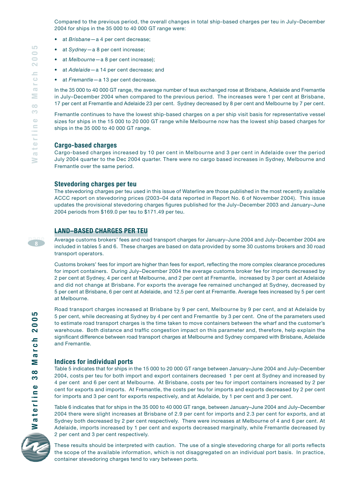Compared to the previous period, the overall changes in total ship-based charges per teu in July–December 2004 for ships in the 35 000 to 40 000 GT range were:

- at *Brisbane*—a 4 per cent decrease;
- at *Sydney*—a 8 per cent increase;
- at *Melbourne*—a 8 per cent increase);
- at *Adelaide*—a 14 per cent decrease; and
- at *Fremantle*—a 13 per cent decrease.

In the 35 000 to 40 000 GT range, the average number of teus exchanged rose at Brisbane, Adelaide and Fremantle in July–December 2004 when compared to the previous period. The increases were 1 per cent at Brisbane, 17 per cent at Fremantle and Adelaide 23 per cent. Sydney decreased by 8 per cent and Melbourne by 7 per cent.

Fremantle continues to have the lowest ship-based charges on a per ship visit basis for representative vessel sizes for ships in the 15 000 to 20 000 GT range while Melbourne now has the lowest ship based charges for ships in the 35 000 to 40 000 GT range.

#### **Cargo-based charges**

Cargo-based charges increased by 10 per cent in Melbourne and 3 per cent in Adelaide over the period July 2004 quarter to the Dec 2004 quarter. There were no cargo based increases in Sydney, Melbourne and Fremantle over the same period.

#### **Stevedoring charges per teu**

The stevedoring charges per teu used in this issue of Waterline are those published in the most recently available ACCC report on stevedoring prices (2003–04 data reported in Report No. 6 of November 2004). This issue updates the provisional stevedoring charges figures published for the July–December 2003 and January–June 2004 periods from \$169.0 per teu to \$171.49 per teu.

#### **LAND–BASED CHARGES PER TEU**

Average customs brokers' fees and road transport charges for January–June 2004 and July–December 2004 are included in tables 5 and 6. These charges are based on data provided by some 30 customs brokers and 30 road transport operators.

Customs brokers' fees for import are higher than fees for export, reflecting the more complex clearance procedures for import containers. During July–December 2004 the average customs broker fee for imports decreased by 2 per cent at Sydney, 4 per cent at Melbourne, and 2 per cent at Fremantle, increased by 3 per cent at Adelaide and did not change at Brisbane. For exports the average fee remained unchanged at Sydney, decreased by 5 per cent at Brisbane, 6 per cent at Adelaide, and 12.5 per cent at Fremantle. Average fees increased by 5 per cent at Melbourne.

Road transport charges increased at Brisbane by 9 per cent, Melbourne by 9 per cent, and at Adelaide by 5 per cent, while decreasing at Sydney by 4 per cent and Fremantle by 3 per cent. One of the parameters used to estimate road transport charges is the time taken to move containers between the wharf and the customer's warehouse. Both distance and traffic congestion impact on this parameter and, therefore, help explain the significant difference between road transport charges at Melbourne and Sydney compared with Brisbane, Adelaide and Fremantle.

#### **Indices for individual ports**

Table 5 indicates that for ships in the 15 000 to 20 000 GT range between January–June 2004 and July–December 2004, costs per teu for both import and export containers decreased 1 per cent at Sydney and increased by 4 per cent and 6 per cent at Melbourne. At Brisbane, costs per teu for import containers increased by 2 per cent for exports and imports. At Fremantle, the costs per teu for imports and exports decreased by 2 per cent for imports and 3 per cent for exports respectively, and at Adelaide, by 1 per cent and 3 per cent.

Table 6 indicates that for ships in the 35 000 to 40 000 GT range, between January–June 2004 and July–December 2004 there were slight increases at Brisbane of 2.9 per cent for imports and 2.3 per cent for exports, and at Sydney both decreased by 2 per cent respectively. There were increases at Melbourne of 4 and 6 per cent. At Adelaide, imports increased by 1 per cent and exports decreased marginally, while Fremantle decreased by 2 per cent and 3 per cent respectively.



Waterline

These results should be interpreted with caution. The use of a single stevedoring charge for all ports reflects the scope of the available information, which is not disaggregated on an individual port basis. In practice, container stevedoring charges tend to vary between ports.

**page8**

LO **2005** 

arch

Σ  $\infty$ S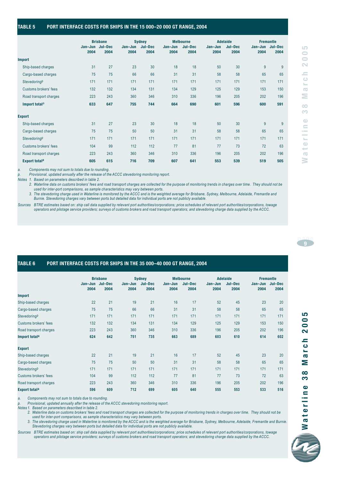#### **TABLE 5 PORT INTERFACE COSTS FOR SHIPS IN THE 15 000–20 000 GT RANGE, 2004**

|                           |                         | <b>Brisbane</b> |                 | <b>Sydney</b>   |                 | <b>Melbourne</b> |                 | <b>Adelaide</b> | <b>Fremantle</b> |                 |
|---------------------------|-------------------------|-----------------|-----------------|-----------------|-----------------|------------------|-----------------|-----------------|------------------|-----------------|
|                           | Jan-Jun Jul-Dec<br>2004 | 2004            | Jan-Jun<br>2004 | Jul-Dec<br>2004 | Jan-Jun<br>2004 | Jul-Dec<br>2004  | Jan-Jun<br>2004 | Jul-Dec<br>2004 | Jan-Jun<br>2004  | Jul-Dec<br>2004 |
| <b>Import</b>             |                         |                 |                 |                 |                 |                  |                 |                 |                  |                 |
| Ship-based charges        | 31                      | 27              | 23              | 30              | 18              | 18               | 50              | 30              | 9                | 9               |
| Cargo-based charges       | 75                      | 75              | 66              | 66              | 31              | 31               | 58              | 58              | 65               | 65              |
| StevedoringP              | 171                     | 171             | 171             | 171             | 171             | 171              | 171             | 171             | 171              | 171             |
| Customs brokers' fees     | 132                     | 132             | 134             | 131             | 134             | 129              | 125             | 129             | 153              | 150             |
| Road transport charges    | 223                     | 243             | 360             | 346             | 310             | 336              | 196             | 205             | 202              | 196             |
| Import total <sup>a</sup> | 633                     | 647             | 755             | 744             | 664             | 690              | 601             | 596             | 600              | 591             |
| <b>Export</b>             |                         |                 |                 |                 |                 |                  |                 |                 |                  |                 |
| Ship-based charges        | 31                      | 27              | 23              | 30              | 18              | 18               | 50              | 30              | 9                | 9               |
| Cargo-based charges       | 75                      | 75              | 50              | 50              | 31              | 31               | 58              | 58              | 65               | 65              |
| StevedoringP              | 171                     | 171             | 171             | 171             | 171             | 171              | 171             | 171             | 171              | 171             |
| Customs brokers' fees     | 104                     | 99              | 112             | 112             | 77              | 81               | 77              | 73              | 72               | 63              |
| Road transport charges    | 223                     | 243             | 360             | 346             | 310             | 336              | 196             | 205             | 202              | 196             |
| <b>Export totala</b>      | 605                     | 615             | 716             | 709             | 607             | 641              | 553             | 539             | 519              | 505             |

*a. Components may not sum to totals due to rounding.* 

*p. Provisional, updated annually after the release of the ACCC stevedoring monitoring report.*

*Notes 1. Based on parameters described in table 2.*

*2. Waterline data on customs brokers' fees and road transport charges are collected for the purpose of monitoring trends in charges over time. They should not be used for inter-port comparisons, as sample characteristics may vary between ports.*

*3. The stevedoring charge used in Waterline is monitored by the ACCC and is the weighted average for Brisbane, Sydney, Melbourne, Adelaide, Fremantle and Burnie. Stevedoring charges vary between ports but detailed data for individual ports are not publicly available.*

*Sources BTRE estimates based on: ship call data supplied by relevant port authorities/corporations; price schedules of relevant port authorities/corporations, towage operators and pilotage service providers; surveys of customs brokers and road transport operators; and stevedoring charge data supplied by the ACCC.*

#### **TABLE 6 PORT INTERFACE COSTS FOR SHIPS IN THE 35 000–40 000 GT RANGE, 2004**

|                           | Jan-Jun<br>2004 | <b>Brisbane</b><br>Jul-Dec<br>2004 | Jan-Jun<br>2004 | <b>Sydney</b><br>Jul-Dec<br>2004 | Jan-Jun<br>2004 | <b>Melbourne</b><br>Jul-Dec<br>2004 | Jan-Jun<br>2004 | <b>Adelaide</b><br>Jul-Dec<br>2004 | <b>Fremantle</b><br>Jan-Jun<br>2004 | Jul-Dec<br>2004 |
|---------------------------|-----------------|------------------------------------|-----------------|----------------------------------|-----------------|-------------------------------------|-----------------|------------------------------------|-------------------------------------|-----------------|
| <b>Import</b>             |                 |                                    |                 |                                  |                 |                                     |                 |                                    |                                     |                 |
| Ship-based charges        | 22              | 21                                 | 19              | 21                               | 16              | 17                                  | 52              | 45                                 | 23                                  | 20              |
| Cargo-based charges       | 75              | 75                                 | 66              | 66                               | 31              | 31                                  | 58              | 58                                 | 65                                  | 65              |
| StevedoringP              | 171             | 171                                | 171             | 171                              | 171             | 171                                 | 171             | 171                                | 171                                 | 171             |
| Customs brokers' fees     | 132             | 132                                | 134             | 131                              | 134             | 129                                 | 125             | 129                                | 153                                 | 150             |
| Road transport charges    | 223             | 243                                | 360             | 346                              | 310             | 336                                 | 196             | 205                                | 202                                 | 196             |
| Import total <sup>a</sup> | 624             | 642                                | 751             | 735                              | 663             | 689                                 | 603             | 610                                | 614                                 | 602             |
| <b>Export</b>             |                 |                                    |                 |                                  |                 |                                     |                 |                                    |                                     |                 |
| Ship-based charges        | 22              | 21                                 | 19              | 21                               | 16              | 17                                  | 52              | 45                                 | 23                                  | 20              |
| Cargo-based charges       | 75              | 75                                 | 50              | 50                               | 31              | 31                                  | 58              | 58                                 | 65                                  | 65              |
| StevedoringP              | 171             | 171                                | 171             | 171                              | 171             | 171                                 | 171             | 171                                | 171                                 | 171             |
| Customs brokers' fees     | 104             | 99                                 | 112             | 112                              | 77              | 81                                  | 77              | 73                                 | 72                                  | 63              |
| Road transport charges    | 223             | 243                                | 360             | 346                              | 310             | 336                                 | 196             | 205                                | 202                                 | 196             |
| <b>Export totala</b>      | 596             | 609                                | 712             | 699                              | 605             | 640                                 | 555             | 553                                | 533                                 | 516             |

*a. Components may not sum to totals due to rounding.* 

*p. Provisional, updated annually after the release of the ACCC stevedoring monitoring report.*

*Notes 1. Based on parameters described in table 2.*

*2. Waterline data on customs brokers' fees and road transport charges are collected for the purpose of monitoring trends in charges over time. They should not be used for inter-port comparisons, as sample characteristics may vary between ports.*

*3. The stevedoring charge used in Waterline is monitored by the ACCC and is the weighted average for Brisbane, Sydney, Melbourne, Adelaide, Fremantle and Burnie. Stevedoring charges vary between ports but detailed data for individual ports are not publicly available.*

*Sources BTRE estimates based on: ship call data supplied by relevant port authorities/corporations; price schedules of relevant port authorities/corporations, towage operators and pilotage service providers; surveys of customs brokers and road transport operators; and stevedoring charge data supplied by the ACCC.*

LO



LO  $\Rightarrow$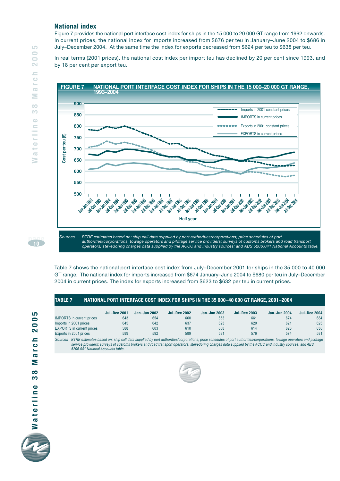#### **National index**

Figure 7 provides the national port interface cost index for ships in the 15 000 to 20 000 GT range from 1992 onwards. In current prices, the national index for imports increased from \$676 per teu in January–June 2004 to \$686 in July–December 2004. At the same time the index for exports decreased from \$624 per teu to \$638 per teu.

In real terms (2001 prices), the national cost index per import teu has declined by 20 per cent since 1993, and by 18 per cent per export teu.



*Sources BTRE estimates based on: ship call data supplied by port authorities/corporations; price schedules of port authorities/corporations, towage operators and pilotage service providers; surveys of customs brokers and road transport operators; stevedoring charges data supplied by the ACCC and industry sources; and ABS 5206.041 National Accounts table.*

Table 7 shows the national port interface cost index from July–December 2001 for ships in the 35 000 to 40 000 GT range. The national index for imports increased from \$674 January–June 2004 to \$680 per teu in July–December 2004 in current prices. The index for exports increased from \$623 to \$632 per teu in current prices.

#### **TABLE 7 NATIONAL PORT INTERFACE COST INDEX FOR SHIPS IN THE 35 000–40 000 GT RANGE, 2001–2004**

|                                  | <b>Jul-Dec 2001</b> | Jan-Jun 2002 | <b>Jul-Dec 2002</b> | $Jan$ -Jun 2003 | <b>Jul-Dec 2003</b> | Jan-Jun 2004 | <b>Jul-Dec 2004</b> |
|----------------------------------|---------------------|--------------|---------------------|-----------------|---------------------|--------------|---------------------|
| <b>IMPORTS</b> in current prices | 643                 | 654          | 660                 | 653             | 661                 | 674          | 684                 |
| Imports in 2001 prices           | 645                 | 642          | 637                 | 623             | 620                 | 621          | 625                 |
| <b>EXPORTS</b> in current prices | 588                 | 603          | 610                 | 608             | 614                 | 623          | 636                 |
| Exports in 2001 prices           | 589                 | 592          | 589                 | 581             | 576                 | 574          | 581                 |

*Sources BTRE estimates based on: ship call data supplied by port authorities/corporations; price schedules of port authorities/corporations, towage operators and pilotage service providers; surveys of customs brokers and road transport operators; stevedoring charges data supplied by the ACCC and industry sources; and ABS 5206.041 National Accounts table.*



**page10**

LO  $\bigcirc$  $\Rightarrow$  $\mathbf{\sim}$  $\equiv$  $\circ$  $\mathbf{S}_{\text{max}}$  $\overline{\mathbb{C}}$  $\geq$  $\circ$ 

Ô  $\bigcirc$  $\equiv$ 

terli

 $\overline{\mathbf{c}}$ ₹

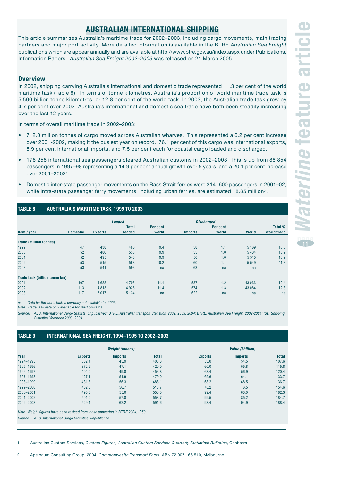#### **AUSTRALIAN INTERNATIONAL SHIPPING**

This article summarises Australia's maritime trade for 2002–2003, including cargo movements, main trading partners and major port activity. More detailed information is available in the BTRE *Australian Sea Freight* publications which are appear annually and are available at http://www.btre.gov.au/index.aspx under Publications, Information Papers. *Australian Sea Freight 2002–2003* was released on 21 March 2005.

#### **Overview**

In 2002, shipping carrying Australia's international and domestic trade represented 11.3 per cent of the world maritime task (Table 8). In terms of tonne kilometres, Australia's proportion of world maritime trade task is 5 500 billion tonne kilometres, or 12.8 per cent of the world task. In 2003, the Australian trade task grew by 4.7 per cent over 2002. Australia's international and domestic sea trade have both been steadily increasing over the last 12 years.

In terms of overall maritime trade in 2002–2003:

- 712.0 million tonnes of cargo moved across Australian wharves. This represented a 6.2 per cent increase over 2001-2002, making it the busiest year on record. 76.1 per cent of this cargo was international exports, 8.9 per cent international imports, and 7.5 per cent each for coastal cargo loaded and discharged.
- 178 258 international sea passengers cleared Australian customs in 2002–2003. This is up from 88 854 passengers in 1997–98 representing a 14.9 per cent annual growth over 5 years, and a 20.1 per cent increase over 2001–20021.
- Domestic inter-state passenger movements on the Bass Strait ferries were 314 600 passengers in 2001–02, while intra-state passenger ferry movements, including urban ferries, are estimated 18.85 million<sup>2</sup>.

#### **TABLE 8 AUSTRALIA'S MARITIME TASK, 1999 TO 2003**

|                               |                 |                | <b>Loaded</b> |          | <b>Discharged</b> |          |              |                |
|-------------------------------|-----------------|----------------|---------------|----------|-------------------|----------|--------------|----------------|
|                               |                 |                | <b>Total</b>  | Per cent |                   | Per cent |              | <b>Total %</b> |
| Item / year                   | <b>Domestic</b> | <b>Exports</b> | loaded        | world    | <b>Imports</b>    | world    | <b>World</b> | world trade    |
| <b>Trade (million tonnes)</b> |                 |                |               |          |                   |          |              |                |
| 1999                          | 47              | 438            | 486           | 9.4      | 58                | 1.1      | 5 1 6 9      | 10.5           |
| 2000                          | 52              | 486            | 538           | 9.9      | 55                | 1.0      | 5 4 3 4      | 10.9           |
| 2001                          | 52              | 495            | 548           | 9.9      | 56                | 1.0      | 5 5 1 5      | 10.9           |
| 2002                          | 53              | 515            | 568           | 10.2     | 60                | 1.1      | 5 5 4 9      | 11.3           |
| 2003                          | 53              | 541            | 593           | na       | 63                | na       | na           | na             |
| Trade task (billion tonne km) |                 |                |               |          |                   |          |              |                |
| 2001                          | 107             | 4688           | 4796          | 11.1     | 537               | 1.2      | 43 066       | 12.4           |
| 2002                          | 113             | 4813           | 4 9 2 6       | 11.4     | 574               | 1.3      | 43 0 84      | 12.8           |
| 2003                          | 117             | 5017           | 5 1 3 4       | na       | 622               | na       | na           | na             |

*na Data for the world task is currently not available for 2003.*

*Note Trade task data only available for 2001 onwards*

*Sources ABS, International Cargo Statists, unpublished; BTRE, Australian transport Statistics, 2002, 2003, 2004; BTRE, Australian Sea Freight, 2002-2004; ISL, Shipping Statistics Yearbook 2003, 2004.*

#### **TABLE 9 INTERNATIONAL SEA FREIGHT, 1994–1995 TO 2002–2003**

|                                                                                |                                                  | <b>Weight (tonnes)</b> |              |                | <b>Value (\$billion)</b> |              |
|--------------------------------------------------------------------------------|--------------------------------------------------|------------------------|--------------|----------------|--------------------------|--------------|
| Year                                                                           | <b>Exports</b>                                   | <b>Imports</b>         | <b>Total</b> | <b>Exports</b> | <b>Imports</b>           | <b>Total</b> |
| 1994-1995                                                                      | 362.4                                            | 45.9                   | 408.3        | 53.0           | 54.5                     | 107.6        |
| 1995-1996                                                                      | 372.9                                            | 47.1                   | 420.0        | 60.0           | 55.8                     | 115.8        |
| 1996-1997                                                                      | 404.0                                            | 49.8                   | 453.8        | 63.4           | 56.9                     | 120.4        |
| 1997-1998                                                                      | 427.1                                            | 51.9                   | 479.0        | 69.6           | 64.1                     | 133.7        |
| 1998-1999                                                                      | 431.8                                            | 56.3                   | 488.1        | 68.2           | 68.5                     | 136.7        |
| 1999-2000                                                                      | 462.0                                            | 56.7                   | 518.7        | 78.2           | 76.5                     | 154.6        |
| 2000-2001                                                                      | 495.0                                            | 55.0                   | 550.0        | 99.4           | 83.0                     | 182.3        |
| 2001-2002                                                                      | 501.0                                            | 57.8                   | 558.7        | 99.5           | 85.2                     | 184.7        |
| 2002-2003                                                                      | 529.4                                            | 62.2                   | 591.6        | 93.4           | 94.9                     | 188.4        |
| Note Weight figures have been revised from those appearing in BTRE 2004, IP50. |                                                  |                        |              |                |                          |              |
| Source                                                                         | ABS, International Cargo Statistics, unpublished |                        |              |                |                          |              |

1 Australian Custom Services, *Custom Figures, Australian Custom Services Quarterly Statistical Bulletins*, Canberra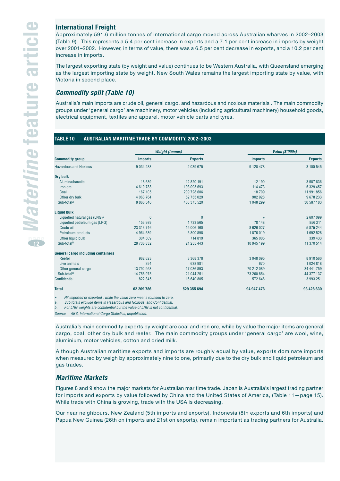**12**

#### **International Freight**

Approximately 591.6 million tonnes of international cargo moved across Australian wharves in 2002–2003 (Table 9). This represents a 5.4 per cent increase in exports and a 7.1 per cent increase in imports by weight over 2001–2002. However, in terms of value, there was a 6.5 per cent decrease in exports, and a 10.2 per cent increase in imports.

The largest exporting state (by weight and value) continues to be Western Australia, with Queensland emerging as the largest importing state by weight. New South Wales remains the largest importing state by value, with Victoria in second place.

#### **Commodity split (Table 10)**

Australia's main imports are crude oil, general cargo, and hazardous and noxious materials . The main commodity groups under 'general cargo' are machinery, motor vehicles (including agricultural machinery) household goods, electrical equipment, textiles and apparel, motor vehicle parts and tyres.

#### **TABLE 10 AUSTRALIAN MARITIME TRADE BY COMMODITY, 2002–2003**

|                                           |                | <b>Weight (tonnes)</b> |                | <b>Value (\$'000s)</b> |
|-------------------------------------------|----------------|------------------------|----------------|------------------------|
| <b>Commodity group</b>                    | <b>Imports</b> | <b>Exports</b>         | <b>Imports</b> | <b>Exports</b>         |
| <b>Hazardous and Noxious</b>              | 9 0 34 2 88    | 2039675                | 9 120 478      | 3 100 545              |
| Dry bulk                                  |                |                        |                |                        |
| Alumina/bauxite                           | 18 689         | 12 820 191             | 12 190         | 3 587 636              |
| Iron ore                                  | 4610788        | 193 093 693            | 114 473        | 5 329 457              |
| Coal                                      | 167 105        | 209 728 606            | 18709          | 11 991 856             |
| Other dry bulk                            | 4 063 764      | 52 733 029             | 902 928        | 9678233                |
| Sub-total <sup>a</sup>                    | 8 8 6 0 3 4 6  | 468 375 520            | 1 048 299      | 30 587 183             |
| <b>Liquid bulk</b>                        |                |                        |                |                        |
| Liquefied natural gas (LNG) <sup>b</sup>  | 0              | $\mathbf{0}$           | $\star$        | 2607099                |
| Liquefied petroleum gas (LPG)             | 153 989        | 1733565                | 78 148         | 856 211                |
| Crude oil                                 | 23 313 746     | 15 006 160             | 8626027        | 5 875 244              |
| Petroleum products                        | 4 964 589      | 3 800 898              | 1876019        | 1692528                |
| Other liquid bulk                         | 304 509        | 714 819                | 365 005        | 339 433                |
| Sub-total <sup>a</sup>                    | 28 736 832     | 21 255 443             | 10 945 199     | 11 370 514             |
| <b>General cargo including containers</b> |                |                        |                |                        |
| Reefer                                    | 962 623        | 3 3 6 8 3 7 8          | 3 048 095      | 8910560                |
| Live animals                              | 394            | 638 981                | 670            | 1024818                |
| Other general cargo                       | 13 792 958     | 17 036 893             | 70 212 089     | 34 441 759             |
| Sub-total <sup>a</sup>                    | 14 755 975     | 21 044 251             | 73 260 854     | 44 377 137             |
| Confidential                              | 822 345        | 16 640 805             | 572 646        | 3 993 251              |
| <b>Total</b>                              | 62 209 786     | 529 355 694            | 94 947 476     | 93 428 630             |

*b. For LNG weights are confidential but the value of LNG is not confidential.*

*Source ABS, International Cargo Statistics, unpublished.*

Australia's main commodity exports by weight are coal and iron ore, while by value the major items are general cargo, coal, other dry bulk and reefer. The main commodity groups under 'general cargo' are wool, wine, aluminium, motor vehicles, cotton and dried milk.

Although Australian maritime exports and imports are roughly equal by value, exports dominate imports when measured by weigh by approximately nine to one, primarily due to the dry bulk and liquid petroleum and gas trades.

#### **Maritime Markets**

Figures 8 and 9 show the major markets for Australian maritime trade. Japan is Australia's largest trading partner for imports and exports by value followed by China and the United States of America, (Table 11—page 15). While trade with China is growing, trade with the USA is decreasing.

Our near neighbours, New Zealand (5th imports and exports), Indonesia (8th exports and 6th imports) and Papua New Guinea (26th on imports and 21st on exports), remain important as trading partners for Australia.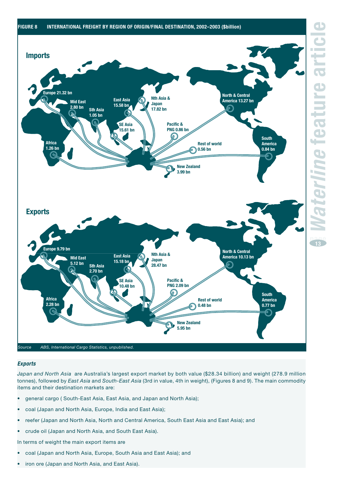

#### **Exports**

*Japan and North Asia* are Australia's largest export market by both value (\$28.34 billion) and weight (278.9 million tonnes), followed by *East Asia* and *South-East Asia* (3rd in value, 4th in weight), (Figures 8 and 9). The main commodity items and their destination markets are:

- general cargo ( South-East Asia, East Asia, and Japan and North Asia);
- coal (Japan and North Asia, Europe, India and East Asia);
- reefer (Japan and North Asia, North and Central America, South East Asia and East Asia); and
- crude oil (Japan and North Asia, and South East Asia).

In terms of weight the main export items are

- coal (Japan and North Asia, Europe, South Asia and East Asia); and
- iron ore (Japan and North Asia, and East Asia).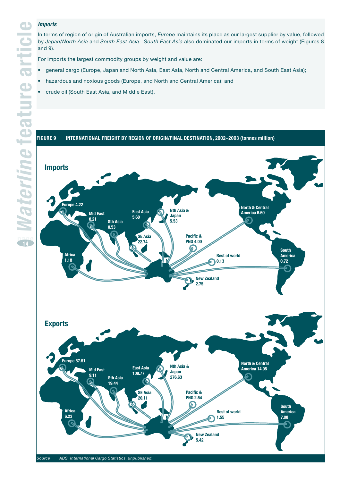#### **Imports**

In terms of region of origin of Australian imports, *Europe* maintains its place as our largest supplier by value, followed by *Japan/North Asia* and *South East Asia. South East Asia* also dominated our imports in terms of weight (Figures 8 and 9).

For imports the largest commodity groups by weight and value are:

- general cargo (Europe, Japan and North Asia, East Asia, North and Central America, and South East Asia);
- hazardous and noxious goods (Europe, and North and Central America); and
- crude oil (South East Asia, and Middle East).

#### **FIGURE 9 INTERNATIONAL FREIGHT BY REGION OF ORIGIN/FINAL DESTINATION, 2002–2003 (tonnes million)**

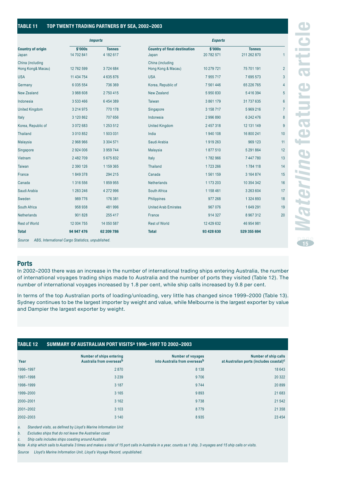#### **TABLE 11 TOP TWENTY TRADING PARTNERS BY SEA, 2002–2003**

|                                       |                       | <b>Imports</b>             |                                              | <b>Exports</b>        |                              |                |
|---------------------------------------|-----------------------|----------------------------|----------------------------------------------|-----------------------|------------------------------|----------------|
| <b>Country of origin</b><br>Japan     | \$'000s<br>14 702 841 | <b>Tonnes</b><br>4 182 617 | <b>Country of final destination</b><br>Japan | \$'000s<br>20 782 571 | <b>Tonnes</b><br>211 262 870 | 1              |
| China (including<br>Hong Kong& Macau) | 12 762 599            | 3724684                    | China (including<br>Hong Kong & Macau)       | 10 279 721            | 75 701 191                   | $\overline{2}$ |
| <b>USA</b>                            | 11 434 754            | 4 635 876                  | <b>USA</b>                                   | 7955717               | 7695573                      | 3              |
| Germany                               | 6 035 554             | 736 369                    | Korea, Republic of                           | 7 561 446             | 65 226 765                   | 4              |
| <b>New Zealand</b>                    | 3988608               | 2750415                    | New Zealand                                  | 5950830               | 5416394                      | 5              |
| Indonesia                             | 3 533 466             | 6454389                    | <b>Taiwan</b>                                | 3 861 179             | 31 737 635                   | 6              |
| <b>United Kingdom</b>                 | 3 2 1 4 9 7 5         | 770 178                    | Singapore                                    | 3 158 717             | 5969216                      | $\overline{7}$ |
| Italy                                 | 3 120 862             | 707 656                    | Indonesia                                    | 2996890               | 6 242 476                    | 8              |
| Korea, Republic of                    | 3 072 683             | 1 253 512                  | <b>United Kingdom</b>                        | 2 457 318             | 12 131 149                   | 9              |
| <b>Thailand</b>                       | 3 010 852             | 1503031                    | India                                        | 1940 108              | 16 800 241                   | 10             |
| Malaysia                              | 2 968 966             | 3 304 571                  | Saudi Arabia                                 | 1919263               | 969 123                      | 11             |
| Singapore                             | 2 924 006             | 3 9 5 9 7 4 4              | Malaysia                                     | 1877510               | 5 291 864                    | 12             |
| Vietnam                               | 2 482 709             | 5 675 832                  | Italy                                        | 1782966               | 7 447 780                    | 13             |
| Taiwan                                | 2 390 126             | 1 159 365                  | <b>Thailand</b>                              | 1723 266              | 1784 118                     | 14             |
| France                                | 1849378               | 294 215                    | Canada                                       | 1561159               | 3 164 874                    | 15             |
| Canada                                | 1 316 556             | 1859955                    | <b>Netherlands</b>                           | 1 173 203             | 10 354 342                   | 16             |
| Saudi Arabia                          | 1 283 246             | 4 272 996                  | South Africa                                 | 1 158 461             | 3 263 604                    | 17             |
| Sweden                                | 989 776               | 176 381                    | Philippines                                  | 977 268               | 1 324 893                    | 18             |
| South Africa                          | 958 938               | 481 996                    | <b>United Arab Emirates</b>                  | 967 076               | 1649291                      | 19             |
| <b>Netherlands</b>                    | 901828                | 255 417                    | France                                       | 914 327               | 8 967 312                    | 20             |
| <b>Rest of World</b>                  | 12 004 755            | 14 050 587                 | <b>Rest of World</b>                         | 12 429 632            | 46 954 981                   |                |
| <b>Total</b>                          | 94 947 476            | 62 209 786                 | <b>Total</b>                                 | 93 428 630            | 529 355 694                  |                |

In 2002–2003 there was an increase in the number of international trading ships entering Australia, the number of international voyages trading ships made to Australia and the number of ports they visited (Table 12). The number of international voyages increased by 1.8 per cent, while ship calls increased by 9.8 per cent.

In terms of the top Australian ports of loading/unloading, very little has changed since 1999–2000 (Table 13). Sydney continues to be the largest importer by weight and value, while Melbourne is the largest exporter by value and Dampier the largest exporter by weight.

#### **TABLE 12 SUMMARY OF AUSTRALIAN PORT VISITSa 1996–1997 TO 2002–2003**

| Year      | <b>Number of ships entering</b><br>Australia from overseasb | <b>Number of voyages</b><br>into Australia from overseasb | Number of ship calls<br>at Australian ports (includes coastal) <sup>c</sup> |
|-----------|-------------------------------------------------------------|-----------------------------------------------------------|-----------------------------------------------------------------------------|
| 1996-1997 | 2870                                                        | 8 1 3 8                                                   | 18643                                                                       |
| 1997-1998 | 3 2 3 9                                                     | 9706                                                      | 20 3 22                                                                     |
| 1998-1999 | 3 1 8 7                                                     | 9744                                                      | 20899                                                                       |
| 1999-2000 | 3 1 6 5                                                     | 9893                                                      | 21 683                                                                      |
| 2000-2001 | 3 1 6 2                                                     | 9738                                                      | 21542                                                                       |
| 2001-2002 | 3 1 0 3                                                     | 8779                                                      | 21 3 5 8                                                                    |
| 2002-2003 | 3 1 4 0                                                     | 8935                                                      | 23 4 54                                                                     |
|           |                                                             |                                                           |                                                                             |

*a. Standard visits, as defined by Lloyd's Marine Information Unit*

*b. Excludes ships that do not leave the Australian coast*

*c. Ship calls includes ships coasting around Australia*

*Note A ship which sails to Australia 3 times and makes a total of 15 port calls in Australia in a year, counts as 1 ship, 3 voyages and 15 ship calls or visits.*

*Source Lloyd's Marine Information Unit, Lloyd's Voyage Record, unpublished.*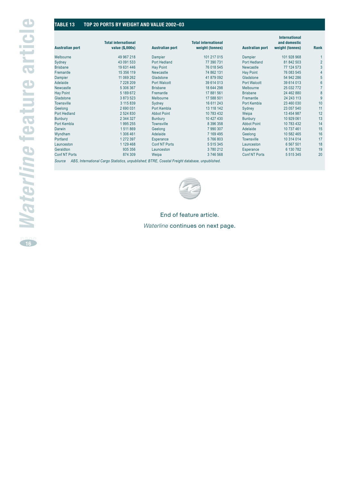#### **TABLE 13 TOP 20 PORTS BY WEIGHT AND VALUE 2002–03**

| <b>Australian port</b> | <b>Total international</b><br>value (\$,000s) | <b>Australian port</b> | <b>Total international</b><br>weight (tonnes) | <b>Australian port</b> | <b>International</b><br>and domestic<br>weight (tonnes) | Rank            |
|------------------------|-----------------------------------------------|------------------------|-----------------------------------------------|------------------------|---------------------------------------------------------|-----------------|
| Melbourne              | 49 967 218                                    | Dampier                | 101 217 015                                   | Dampier                | 101 928 968                                             |                 |
| Sydney                 | 43 091 533                                    | Port Hedland           | 77 390 731                                    | Port Hedland           | 81 842 503                                              | $\overline{2}$  |
| <b>Brisbane</b>        | 19631446                                      | <b>Hay Point</b>       | 76 018 545                                    | Newcastle              | 77 124 573                                              | 3               |
| Fremantle              | 15 356 119                                    | <b>Newcastle</b>       | 74 862 131                                    | <b>Hay Point</b>       | 76 083 545                                              | $\overline{4}$  |
| Dampier                | 11 069 262                                    | Gladstone              | 41 879 092                                    | Gladstone              | 54 942 286                                              | 5               |
| Adelaide               | 7 228 209                                     | <b>Port Walcott</b>    | 39 614 013                                    | <b>Port Walcott</b>    | 39 614 013                                              | $6\phantom{1}6$ |
| <b>Newcastle</b>       | 5 306 367                                     | <b>Brisbane</b>        | 18 644 298                                    | Melbourne              | 25 032 772                                              |                 |
| <b>Hay Point</b>       | 5 189 672                                     | Fremantle              | 17 881 561                                    | <b>Brisbane</b>        | 24 462 880                                              | 8               |
| Gladstone              | 3873523                                       | Melbourne              | 17 588 501                                    | Fremantle              | 24 243 113                                              | 9               |
| <b>Townsville</b>      | 3 115 839                                     | Sydney                 | 16 611 243                                    | Port Kembla            | 23 460 030                                              | 10              |
| Geelong                | 2690031                                       | Port Kembla            | 13 118 142                                    | Sydney                 | 23 057 540                                              | 11              |
| <b>Port Hedland</b>    | 2 5 2 4 8 3 0                                 | <b>Abbot Point</b>     | 10 783 432                                    | Weipa                  | 13 454 987                                              | 12              |
| <b>Bunbury</b>         | 2 344 327                                     | <b>Bunbury</b>         | 10 427 430                                    | Bunbury                | 10 929 061                                              | 13              |
| Port Kembla            | 1995255                                       | <b>Townsville</b>      | 8 396 358                                     | <b>Abbot Point</b>     | 10 783 432                                              | 14              |
| <b>Darwin</b>          | 1 511 869                                     | Geelong                | 7 990 307                                     | Adelaide               | 10 737 461                                              | 15              |
| Wyndham                | 1 306 461                                     | Adelaide               | 7 169 495                                     | Geelong                | 10 582 465                                              | 16              |
| Portland               | 1 272 397                                     | Esperance              | 5766803                                       | <b>Townsville</b>      | 10 314 014                                              | 17              |
| Launceston             | 1 1 2 9 4 6 8                                 | <b>Conf NT Ports</b>   | 5 5 1 5 3 4 5                                 | Launceston             | 6 5 6 7 5 0 1                                           | 18              |
| Geraldton              | 935 356                                       | Launceston             | 3780212                                       | Esperance              | 6 130 782                                               | 19              |
| <b>Conf NT Ports</b>   | 874 309                                       | Weipa                  | 3746568                                       | <b>Conf NT Ports</b>   | 5 5 1 5 3 4 5                                           | 20              |



#### End of feature article.

#### *Waterline* continues on next page.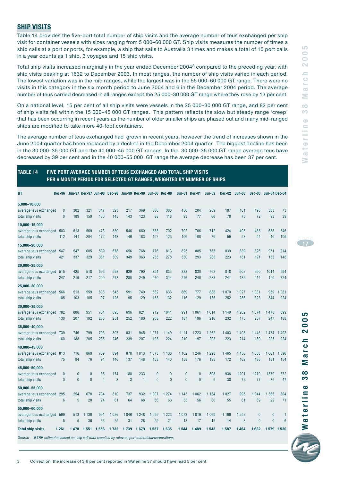#### **SHIP VISITS**

Table 14 provides the five-port total number of ship visits and the average number of teus exchanged per ship visit for container vessels with sizes ranging from 5 000–60 000 GT. Ship visits measures the number of times a ship calls at a port or ports, for example, a ship that sails to Australia 3 times and makes a total of 15 port calls in a year counts as 1 ship, 3 voyages and 15 ship visits.

Total ship visits increased marginally in the year ended December 20043 compared to the preceding year, with ship visits peaking at 1632 to December 2003. In most ranges, the number of ship visits varied in each period. The lowest variation was in the mid ranges, while the largest was in the 55 000–60 000 GT range. There were no visits in this category in the six month period to June 2004 and 6 in the December 2004 period. The average number of teus carried decreased in all ranges except the 25 000–30 000 GT range where they rose by 13 per cent.

On a national level, 15 per cent of all ship visits were vessels in the 25 000–30 000 GT range, and 82 per cent of ship visits fell within the 15 000–45 000 GT ranges. This pattern reflects the slow but steady range 'creep' that has been occurring in recent years as the number of older smaller ships are phased out and many mid–ranged ships are modified to take more 40-foot containers.

The average number of teus exchanged had grown in recent years, however the trend of increases shown in the June 2004 quarter has been replaced by a decline in the December 2004 quarter. The biggest decline has been in the 30 000–35 000 GT and the 40 000–45 000 GT ranges. In the 30 000–35 000 GT range average teus have decreased by 39 per cent and in the 40 000–55 000 GT range the average decrease has been 37 per cent.

#### **TABLE 14 FIVE PORT AVERAGE NUMBER OF TEUS EXCHANGED AND TOTAL SHIP VISITS PER 6 MONTH PERIOD FOR SELECTED GT RANGES, WEIGHTED BY NUMBER OF SHIPS**

| <b>GT</b>                                                                                                                        | <b>Dec-96</b>                |                           |                           |                      | Jun-97 Dec-97 Jun-98 Dec-98 Jun-99 Dec-99 Jun-00 Dec-00 |               |                       |                              |                                  |                                | <b>Jun-01 Dec-01</b>           | <b>Jun-02</b>  | <b>Dec-02</b>  | $Jun-03$       | $Dec-03$                     | <b>Jun-04 Dec-04</b> |                |
|----------------------------------------------------------------------------------------------------------------------------------|------------------------------|---------------------------|---------------------------|----------------------|---------------------------------------------------------|---------------|-----------------------|------------------------------|----------------------------------|--------------------------------|--------------------------------|----------------|----------------|----------------|------------------------------|----------------------|----------------|
| 5,000-10,000<br>average teus exchanged<br>total ship visits                                                                      | $\mathbf{0}$<br>$\pmb{0}$    | 302<br>189                | 321<br>159                | 347<br>130           | 323<br>145                                              | 217<br>143    | 369<br>123            | 380<br>88                    | 383<br>118                       | 456<br>93                      | 284<br>77                      | 239<br>66      | 187<br>78      | 161<br>75      | 193<br>72                    | 333<br>93            | 73<br>39       |
| 10,000-15,000<br>average teus exchanged<br>total ship visits                                                                     | 503<br>112                   | 513<br>141                | 569<br>204                | 473<br>172           | 530<br>143                                              | 546<br>146    | 660<br>183            | 683<br>152                   | 702<br>123                       | 702<br>106                     | 706<br>108                     | 712<br>79      | 424<br>59      | 405<br>53      | 485<br>54                    | 688<br>40            | 646<br>105     |
| 15,000-20,000<br>average teus exchanged<br>total ship visits                                                                     | 547<br>421                   | 547<br>337                | 605<br>329                | 539<br>361           | 678<br>309                                              | 656<br>349    | 768<br>363            | 776<br>255                   | 813<br>278                       | 825<br>330                     | 885<br>293                     | 763<br>285     | 839<br>223     | 839<br>181     | 826<br>191                   | 971<br>153           | 914<br>148     |
| 20,000-25,000<br>average teus exchanged<br>total ship visits                                                                     | 515<br>247                   | 425<br>219                | 518<br>217                | 506<br>200           | 598<br>278                                              | 629<br>280    | 790<br>249            | 754<br>270                   | 833<br>314                       | 838<br>276                     | 830<br>240                     | 762<br>233     | 818<br>241     | 902<br>182     | 990<br>214                   | 1014<br>199          | 994<br>324     |
| 25,000-30,000<br>average teus exchanged<br>total ship visits                                                                     | 566<br>105                   | 513<br>103                | 559<br>105                | 608<br>97            | 545<br>125                                              | 591<br>95     | 740<br>129            | 682<br>153                   | 636<br>132                       | 869<br>116                     | 777<br>129                     | 888<br>186     | 1070<br>252    | 1027<br>286    | 1031<br>323                  | 959<br>344           | 1081<br>224    |
| 30,000-35,000<br>average teus exchanged<br>total ship visits                                                                     | 782<br>130                   | 808<br>207                | 951<br>192                | 754<br>206           | 695<br>251                                              | 696<br>252    | 821<br>180            | 912<br>208                   | 1041<br>222                      | 991<br>187                     | 1061<br>196                    | 1014<br>216    | 1 1 4 9<br>232 | 1 2 6 2<br>175 | 1 3 7 4<br>257               | 1478<br>247          | 899<br>188     |
| 35,000-40,000<br>average teus exchanged<br>total ship visits                                                                     | 739<br>160                   | 746<br>188                | 799<br>205                | 793<br>235           | 807<br>246                                              | 831<br>239    | 945<br>207            | 071<br>1<br>193              | 1 1 4 9<br>224                   | 1 1 1 1<br>210                 | 1 2 2 3<br>197                 | 1 2 6 2<br>203 | 1403<br>223    | 1408<br>214    | 1445<br>189                  | 1474<br>225          | 1402<br>224    |
| 40,000-45,000<br>average teus exchanged<br>total ship visits                                                                     | 813<br>75                    | 716<br>84                 | 869<br>76                 | 759<br>91            | 894<br>146                                              | 878<br>137    | 013<br>1<br>148       | 1073<br>153                  | 1 1 3 3<br>140                   | 1 1 0 2<br>158                 | 1 2 4 6<br>176                 | 1 2 2 8<br>195 | 1465<br>172    | 1450<br>162    | 1558<br>186                  | 1601<br>181          | 1 0 9 6<br>154 |
| 45,000-50,000<br>average teus exchanged<br>total ship visits                                                                     | $\mathbf{0}$<br>$\mathbf{0}$ | $\pmb{0}$<br>$\mathbf{0}$ | 0<br>$\overline{0}$       | 35<br>$\overline{4}$ | 174<br>3                                                | 188<br>3      | 233<br>$\overline{1}$ | $\mathbf{0}$<br>$\mathbf{0}$ | $\overline{0}$<br>$\overline{0}$ | $\mathbf{0}$<br>$\overline{0}$ | $\mathbf{0}$<br>$\overline{0}$ | 808<br>5       | 938<br>38      | 1201<br>72     | 1270<br>77                   | 1379<br>75           | 872<br>47      |
| 50,000-55,000<br>average teus exchanged<br>total ship visits                                                                     | 295<br>$6\phantom{1}$        | 254<br>5                  | 678<br>28                 | 734<br>24            | 810<br>61                                               | 737<br>64     | 932<br>68             | 1 0 0 7<br>56                | 1 2 7 4<br>63                    | 1 1 4 3<br>55                  | 1062<br>56                     | 1 1 3 4<br>60  | 1 0 2 7<br>55  | 995<br>61      | 1 0 4 4<br>69                | 1 3 6 6<br>22        | 804<br>71      |
| 55,000-60,000<br>average teus exchanged<br>total ship visits                                                                     | 599<br>5                     | 513<br>5                  | 139<br>$\mathbf{1}$<br>36 | 991<br>36            | 1 0 26<br>25                                            | 1 0 4 6<br>31 | 1 2 4 8<br>28         | 1 0 9 9<br>29                | 1 2 2 3<br>21                    | 1072<br>13                     | 1019<br>17                     | 1069<br>15     | 1 1 6 6<br>14  | 1 2 5 2<br>3   | $\mathbf{0}$<br>$\mathbf{0}$ | 0<br>$\overline{0}$  | 1<br>6         |
| <b>Total ship visits</b><br>BTRE estimates based on ship call data supplied by relevant port authorities/corporations.<br>Source | 1 2 6 1                      | 1478                      | 1551                      | 1 5 5 6              | 1 7 3 2                                                 | 1 7 3 9       | 1679                  | 1 5 5 7                      | 1635                             | 1 5 4 4                        | 1489                           | 1543           | 1587           | 1464           | 1632                         | 1 579 1 530          |                |
|                                                                                                                                  |                              |                           |                           |                      |                                                         |               |                       |                              |                                  |                                |                                |                |                |                |                              |                      |                |



**Waterline 38 March 2005** 200  $\blacksquare$  $\bullet$ s.  $\overline{\mathbf{c}}$ Σ  $\infty$ က  $\bullet$ aterlin

5

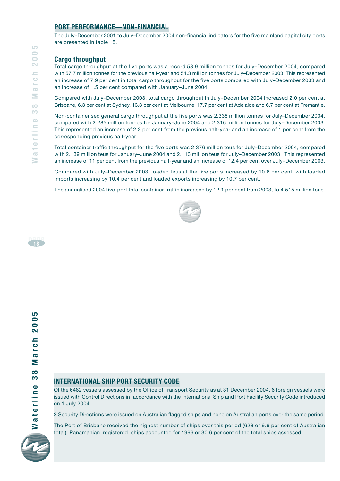#### **PORT PERFORMANCE—NON-FINANCIAL**

The July–December 2001 to July–December 2004 non-financial indicators for the five mainland capital city ports are presented in table 15.

#### **Cargo throughput**

Total cargo throughput at the five ports was a record 58.9 million tonnes for July–December 2004, compared with 57.7 million tonnes for the previous half-year and 54.3 million tonnes for July–December 2003 This represented an increase of 7.9 per cent in total cargo throughput for the five ports compared with July–December 2003 and an increase of 1.5 per cent compared with January–June 2004.

Compared with July–December 2003, total cargo throughput in July–December 2004 increased 2.0 per cent at Brisbane, 6.3 per cent at Sydney, 13.3 per cent at Melbourne, 17.7 per cent at Adelaide and 6.7 per cent at Fremantle.

Non-containerised general cargo throughput at the five ports was 2.338 million tonnes for July–December 2004, compared with 2.285 million tonnes for January–June 2004 and 2.316 million tonnes for July–December 2003. This represented an increase of 2.3 per cent from the previous half-year and an increase of 1 per cent from the corresponding previous half-year.

Total container traffic throughput for the five ports was 2.376 million teus for July–December 2004, compared with 2.139 million teus for January–June 2004 and 2.113 million teus for July–December 2003. This represented an increase of 11 per cent from the previous half-year and an increase of 12.4 per cent over July–December 2003.

Compared with July–December 2003, loaded teus at the five ports increased by 10.6 per cent, with loaded imports increasing by 10.4 per cent and loaded exports increasing by 10.7 per cent.

The annualised 2004 five-port total container traffic increased by 12.1 per cent from 2003, to 4.515 million teus.





#### **INTERNATIONAL SHIP PORT SECURITY CODE**

Of the 6482 vessels assessed by the Office of Transport Security as at 31 December 2004, 6 foreign vessels were issued with Control Directions in accordance with the International Ship and Port Facility Security Code introduced on 1 July 2004.

2 Security Directions were issued on Australian flagged ships and none on Australian ports over the same period.

The Port of Brisbane received the highest number of ships over this period (628 or 9.6 per cent of Australian total). Panamanian registered ships accounted for 1996 or 30.6 per cent of the total ships assessed.

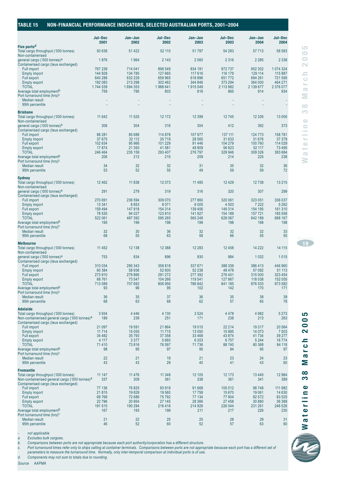| TABLE 15 | NON-FINANCIAL PERFORMANCE INDICATORS, SELECTED AUSTRALIAN PORTS, 2001-2004 |  |
|----------|----------------------------------------------------------------------------|--|
|          |                                                                            |  |

|                                                                                                                                            | Jul-Dec<br>2001                          | Jan-Jun<br>2002                          | Jul-Dec<br>2002                          | Jan-Jun<br>2003                          | Jul-Dec<br>2003                        | Jan-Jun<br>2004                          | Jul-Dec<br>2004                            |
|--------------------------------------------------------------------------------------------------------------------------------------------|------------------------------------------|------------------------------------------|------------------------------------------|------------------------------------------|----------------------------------------|------------------------------------------|--------------------------------------------|
| Five ports <sup>d</sup><br>Total cargo throughput ('000 tonnes)                                                                            | 50 638                                   | 51 4 22                                  | 52 110                                   | 51797                                    | 54 283                                 | 57 713                                   | 58 593                                     |
| Non-containerised<br>general cargo ('000 tonnes) <sup>a</sup>                                                                              | 1876                                     | 1964                                     | 2 1 4 3                                  | 2 0 6 0                                  | 2 3 1 6                                | 2 2 8 5                                  | 2 3 3 8                                    |
| Containerised cargo (teus exchanged)<br><b>Full import</b><br><b>Empty import</b><br>Full export<br><b>Empty export</b>                    | 767 239<br>144 929<br>640 288<br>192 083 | 714 041<br>134 785<br>632 229<br>213 298 | 898 549<br>127 665<br>659 965<br>302 462 | 834 191<br>117 616<br>618 896<br>344 846 | 972737<br>116 179<br>651772<br>373 294 | 952 302<br>129 114<br>694 261<br>364 000 | 1 074 324<br>115 887<br>721 595<br>464 271 |
| <b>TOTAL</b><br>Average total employment <sup>b</sup><br>Port turnaround time (hrs) <sup>c</sup>                                           | 1744 539<br>759                          | 1694353<br>795                           | 1988 641<br>803                          | 1915 549<br>816                          | 2 113 982<br>865                       | 2 139 677<br>914                         | 2 376 077<br>934                           |
| Median result<br>95th percentile                                                                                                           | ÷                                        |                                          |                                          |                                          | ÷                                      | ÷                                        |                                            |
| <b>Brisbane</b><br>Total cargo throughput ('000 tonnes)                                                                                    | 11 642                                   | 11 525                                   | 12 172                                   | 12 3 9 9                                 | 12745                                  | 12 3 26                                  | 13 006                                     |
| Non-containerised<br>general cargo ('000 tonnes) <sup>a</sup><br>Containerised cargo (teus exchanged)                                      | 306                                      | 304                                      | 316                                      | 304                                      | 412                                    | 392                                      | 373                                        |
| <b>Full import</b><br><b>Empty import</b><br>Full export                                                                                   | 88 281<br>37 675<br>102 634              | 85 688<br>32 112<br>95 966               | 114 878<br>35 7 19<br>101 229            | 107 977<br>28 5 65<br>91 4 4 6           | 137 111<br>31 633<br>104 279           | 124 773<br>31 676<br>100 760             | 158 781<br>37 37 9<br>114 029              |
| <b>Empty export</b><br><b>TOTAL</b>                                                                                                        | 17874<br>246 464                         | 21 3 9 3<br>235 159                      | 41 581<br>293 407                        | 48 809<br>276 797                        | 56 923<br>329 946                      | 52 117<br>309 326                        | 73 4 95<br>383 684                         |
| Average total employment <sup>b</sup><br>Port turnaround time (hrs) <sup>c</sup>                                                           | 206                                      | 212                                      | 215                                      | 209                                      | 214                                    | 225                                      | 238                                        |
| Median result<br>95th percentile                                                                                                           | 34<br>53                                 | 32<br>52                                 | 32<br>55                                 | 31<br>49                                 | 35<br>59                               | 32<br>59                                 | 36<br>72                                   |
| <b>Sydney</b><br>Total cargo throughput ('000 tonnes)<br>Non-containerised                                                                 | 12462                                    | 11838                                    | 12 073                                   | 11 4 8 5                                 | 12 4 29                                | 12738                                    | 13 2 15                                    |
| general cargo ('000 tonnes) <sup>a</sup><br>Containerised cargo (teus exchanged)                                                           | 291                                      | 279                                      | 319                                      | 316                                      | 320                                    | 307                                      | 299                                        |
| <b>Full import</b><br><b>Empty import</b>                                                                                                  | 270 691<br>13 3 4 1                      | 236 594<br>8853                          | 309 070<br>8 0 7 1                       | 277860<br>6 0 0 5                        | 320 061<br>4 5 0 3                     | 323 051<br>7 2 2 2                       | 336 037<br>5 2 6 2                         |
| <b>Full export</b><br><b>Empty export</b><br><b>TOTAL</b>                                                                                  | 159 494<br>78 535<br>522 061             | 147 918<br>94 0 27<br>487 392            | 154 314<br>123 810<br>595 265            | 139 456<br>141 927<br>565 248            | 149 314<br>154 189<br>628 067          | 154 195<br>157 721<br>642 189            | 161 310<br>185 558<br>688 167              |
| Average total employment <sup>b</sup><br>Port turnaround time (hrs) <sup>c</sup>                                                           | 195                                      | 199                                      | 198                                      | 199                                      | 198                                    | 198                                      | 198                                        |
| <b>Median result</b><br>95th percentile                                                                                                    | 32<br>68                                 | 30<br>55                                 | 36<br>63                                 | 32<br>58                                 | 32<br>66                               | 32<br>55                                 | 33<br>55                                   |
| <b>Melbourne</b><br>Total cargo throughput ('000 tonnes)                                                                                   | 11 4 5 2                                 | 12 138                                   | 12 3 8 8                                 | 12 2 8 3                                 | 12 4 5 8                               | 14 2 22                                  | 14 11 5                                    |
| Non-containerised<br>general cargo ('000 tonnes) <sup>a</sup><br>Containerised cargo (teus exchanged)                                      | 753                                      | 834                                      | 896                                      | 930                                      | 984                                    | 1 0 3 2                                  | 1015                                       |
| <b>Full import</b><br><b>Empty import</b><br><b>Full export</b>                                                                            | 310 034<br>60 384<br>273 910             | 295 343<br>58 936<br>279 866             | 358 818<br>52 600<br>291 272             | 337 671<br>52 238<br>277 392             | 388 339<br>48 478<br>276 401           | 386 413<br>57 082<br>315 000             | 446 960<br>51 113<br>323 454               |
| <b>Empty export</b><br><b>TOTAL</b><br>Average total employment <sup>b</sup>                                                               | 68761<br>713 089<br>93                   | 73 547<br>707 692<br>96                  | 104 266<br>806 956<br>95                 | 119 541<br>786 842<br>102                | 127 967<br>841 185<br>142              | 118 038<br>876 533<br>170                | 152 055<br>973 582<br>171                  |
| Port turnaround time (hrs) <sup>c</sup><br>Median result<br>95th percentile                                                                | 36<br>68                                 | 35<br>63                                 | 37<br>68                                 | 36<br>62                                 | 35<br>57                               | 38<br>65                                 | 39<br>78                                   |
| <b>Adelaide</b>                                                                                                                            |                                          |                                          |                                          |                                          |                                        |                                          |                                            |
| Total cargo throughput ('000 tonnes)<br>Non-containerised general cargo ('000 tonnes) <sup>a</sup><br>Containerised cargo (teus exchanged) | 3934<br>189                              | 4 4 4 6<br>239                           | 4 1 3 0<br>251                           | 3524<br>171                              | 4 4 7 8<br>238                         | 4 9 8 2<br>213                           | 5 2 7 3<br>263                             |
| Full import<br><b>Empty import</b>                                                                                                         | 21 097<br>11 7 14                        | 19591<br>15 0 55                         | 21 8 64<br>11 7 15                       | 19 0 15<br>13 050                        | 22 214<br>15 8 95                      | 19 317<br>14 0 73                        | 20 5 64<br>7 5 0 3                         |
| Full export<br><b>Empty export</b>                                                                                                         | 34 482<br>4 1 1 7                        | 35 793<br>3 3 7 7                        | 37 358<br>5 6 6 0                        | 33 4 68<br>6 203                         | 43 874<br>6757                         | 41734<br>5 2 4 4                         | 39 277<br>16774                            |
| <b>TOTAL</b><br>Average total employment <sup>b</sup><br>Port turnaround time (hrs) <sup>c</sup>                                           | 71410<br>98                              | 73816<br>95                              | 76 597<br>97                             | 71736<br>95                              | 88740<br>94                            | 80 368<br>95                             | 84 118<br>97                               |
| <b>Median result</b><br>95th percentile                                                                                                    | 22<br>43                                 | 21<br>43                                 | 19<br>29                                 | 21<br>40                                 | 23<br>41                               | 24<br>43                                 | 23<br>60                                   |
| <b>Fremantle</b><br>Total cargo throughput ('000 tonnes)<br>Non-containerised general cargo ('000 tonnes) <sup>a</sup>                     | 11 147<br>337                            | 11 4 7 6<br>309                          | 11 348<br>361                            | 12 105<br>338                            | 12 173<br>361                          | 13 4 4 5<br>341                          | 12984<br>389                               |
| Containerised cargo (teus exchanged)<br>Full import                                                                                        | 77 136                                   | 76 825                                   | 93 919                                   | 91 668                                   | 105 012                                | 98748                                    | 111 982                                    |
| <b>Empty import</b><br>Full export<br><b>Empty export</b>                                                                                  | 21815<br>69768<br>22796                  | 19829<br>72 686<br>20 954                | 19 560<br>75 792<br>27 145               | 17758<br>77 134<br>28 366                | 15 670<br>77 904<br>27 458             | 19 061<br>82 572<br>30 880               | 14 630<br>83 525<br>36 389                 |
| <b>TOTAL</b><br>Average total employment <sup>b</sup>                                                                                      | 191 515<br>167                           | 190 294<br>193                           | 216 416<br>199                           | 214 926<br>211                           | 226 044<br>217                         | 231 261<br>226                           | 246 526<br>230                             |
| Port turnaround time (hrs) <sup>c</sup><br>Median result<br>95th percentile                                                                | 21<br>46                                 | 22<br>52                                 | 25<br>60                                 | 25<br>52                                 | 28<br>57                               | 29<br>63                                 | 31<br>60                                   |

*- not applicable*

*a Excludes bulk cargoes.*

*b. Comparisons between ports are not appropriate because each port authority/corporation has a different structure.*

c. Port turnaround times refer only to ships calling at container terminals. Comparisons between ports are not appropriate because each port has a different set of<br>parameters to measure the turnaround time. Normally, onl

*d. Components may not sum to totals due to rounding.*

*Source AAPMA*



**Waterline 38 March 2005**

Σ  $\infty$  $\overline{3}$ 

arch

2005

**page <sup>19</sup>**

**Waterline 38 March 2005**

 $\frac{8}{3}$ 

 $\bigcirc$ 

aterlin

 $\geq$ 

 $\geq$ 

arch

2005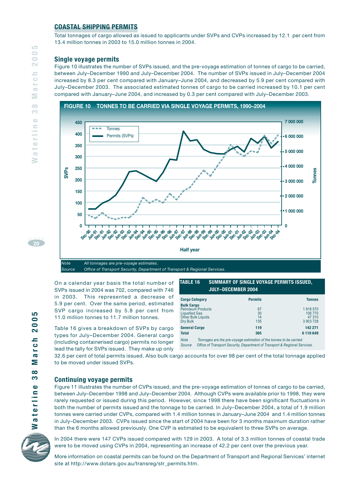#### **COASTAL SHIPPING PERMITS**

Total tonnages of cargo allowed as issued to applicants under SVPs and CVPs increased by 12.1 per cent from 13.4 million tonnes in 2003 to 15.0 million tonnes in 2004.

#### **Single voyage permits**

Figure 10 illustrates the number of SVPs issued, and the pre-voyage estimation of tonnes of cargo to be carried, between July–December 1990 and July–December 2004. The number of SVPs issued in July–December 2004 increased by 8.3 per cent compared with January–June 2004, and decreased by 5.9 per cent compared with July–December 2003. The associated estimated tonnes of cargo to be carried increased by 10.1 per cent compared with January–June 2004, and increased by 0.3 per cent compared with July–December 2003.



On a calendar year basis the total number of SVPs issued in 2004 was 702, compared with 746 in 2003. This represented a decrease of 5.9 per cent. Over the same period, estimated SVP cargo increased by 5.8 per cent from 11.0 million tonnes to 11.7 million tonnes.

Table 16 gives a breakdown of SVPs by cargo types for July-December 2004. General cargo (including containerised cargo) permits no longer lead the tally for SVPs issued. They make up only

| TABLE 16 | ' Summary of Single võyage permits issued, , |
|----------|----------------------------------------------|
|          | <b>JULY-DECEMBER 2004</b>                    |

| <b>Cargo Category</b>                                                                                           | <b>Permits</b>                                                                                                | <b>Tonnes</b>                             |
|-----------------------------------------------------------------------------------------------------------------|---------------------------------------------------------------------------------------------------------------|-------------------------------------------|
| <b>Bulk Cargo</b><br><b>Petroleum Products</b><br><b>Liquefied Gas</b><br><b>Other Bulk Liquids</b><br>Dry Bulk | 67<br>30<br>14<br>135                                                                                         | 1918570<br>106 770<br>47 310<br>3 903 728 |
| <b>General Cargo</b>                                                                                            | 119                                                                                                           | 142 271                                   |
| <b>Total</b>                                                                                                    | 365                                                                                                           | 6 118 649                                 |
| $\cdots$<br>$\cdot$                                                                                             | $\mathbf{r}$ , and the second contribution of the second contribution of the second contribution $\mathbf{r}$ |                                           |

*Note Tonnages are the pre-voyage estimation of the tonnes to be carried. Source Office of Transport Security, Department of Transport & Regional Services.*

32.6 per cent of total permits issued. Also bulk cargo accounts for over 98 per cent of the total tonnage applied to be moved under issued SVPs.

#### **Continuing voyage permits**

Figure 11 illustrates the number of CVPs issued, and the pre-voyage estimation of tonnes of cargo to be carried, between July–December 1998 and July–December 2004. Although CVPs were available prior to 1998, they were rarely requested or issued during this period. However, since 1998 there have been significant fluctuations in both the number of permits issued and the tonnage to be carried. In July–December 2004, a total of 1.9 million tonnes were carried under CVPs, compared with 1.4 million tonnes in January–June 2004 and 1.4 million tonnes in July–December 2003. CVPs issued since the start of 2004 have been for 3 months maximum duration rather than the 6 months allowed previously. One CVP is estimated to be equivalent to three SVPs on average.



aterlin

₹

In 2004 there were 147 CVPs issued compared with 129 in 2003. A total of 3.3 million tonnes of coastal trade were to be moved using CVPs in 2004, representing an increase of 42.2 per cent over the previous year.

More information on coastal permits can be found on the Department of Transport and Regional Services' internet site at http://www.dotars.gov.au/transreg/str\_permits.htm.

**page20**

LO 200

arch

Σ  $\infty$ က  $\bullet$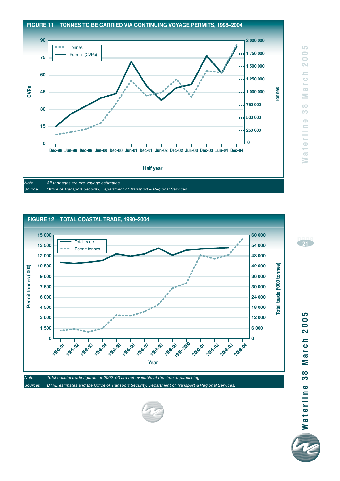



*Sources BTRE estimates and the Office of Transport Security, Department of Transport & Regional Services.*



**page <sup>21</sup>**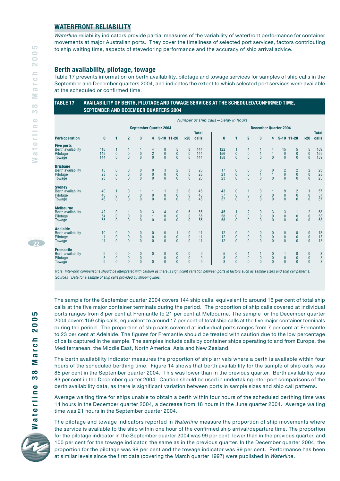#### **WATERFRONT RELIABILITY**

*Waterline* reliability indicators provide partial measures of the variability of waterfront performance for container movements at major Australian ports. They cover the timeliness of selected port services, factors contributing to ship waiting time, aspects of stevedoring performance and the accuracy of ship arrival advice.

#### **Berth availability, pilotage, towage**

Table 17 presents information on berth availability, pilotage and towage services for samples of ship calls in the September and December quarters 2004, and indicates the extent to which selected port services were available at the scheduled or confirmed time.

#### **TABLE 17 AVAILABILITY OF BERTH, PILOTAGE AND TOWAGE SERVICES AT THE SCHEDULED/CONFIRMED TIME, SEPTEMBER AND DECEMBER QUARTERS 2004**

|                                                                     |                            |                                     |                                     |                                                  |                                               |                                      |                                             |                                          |                       | Number of ship calls-Delay in hours |                                           |                                               |                                       |                                                                  |                                             |                                                      |                                                      |                                               |
|---------------------------------------------------------------------|----------------------------|-------------------------------------|-------------------------------------|--------------------------------------------------|-----------------------------------------------|--------------------------------------|---------------------------------------------|------------------------------------------|-----------------------|-------------------------------------|-------------------------------------------|-----------------------------------------------|---------------------------------------|------------------------------------------------------------------|---------------------------------------------|------------------------------------------------------|------------------------------------------------------|-----------------------------------------------|
|                                                                     |                            |                                     |                                     | <b>September Quarter 2004</b>                    |                                               |                                      |                                             |                                          |                       |                                     |                                           |                                               | <b>December Quarter 2004</b>          |                                                                  |                                             |                                                      |                                                      |                                               |
| <b>Port/operation</b>                                               | $\bf{0}$                   | 1                                   | $\overline{2}$                      | 3                                                | 4                                             |                                      | $5-10$ 11-20                                | $>20$                                    | <b>Total</b><br>calls | $\bf{0}$                            | $\mathbf{1}$                              | $\overline{2}$                                | 3                                     | 4                                                                |                                             | $5-10$ 11-20                                         | $>20$                                                | <b>Total</b><br>calls                         |
| <b>Five ports</b><br>Berth availability<br>Pilotage<br>Towage       | 116<br>142<br>144          | $\mathbf 0$<br>$\mathbf{0}$         | $\pmb{0}$<br>$\mathbf{0}$           | $\pmb{0}$<br>$\mathbf{0}$                        | 4<br>$\overline{2}$<br>$\mathbf{0}$           | 8<br>$\pmb{0}$<br>$\overline{0}$     | 5<br>$\pmb{0}$<br>$\mathbf{0}$              | 8<br>$\mathbf 0$<br>$\mathbf{0}$         | 144<br>144<br>144     | 122<br>156<br>158                   | $\pmb{0}$<br>$\mathbf{0}$                 | 4<br>$\begin{matrix} 0 \\ 0 \end{matrix}$     | $\mathbf{1}$<br>$\overline{0}$        | 4<br>$\mathbf{1}$<br>$\mathbf{0}$                                | 15<br>$\pmb{0}$<br>$\mathbf{0}$             | 5<br>$\pmb{0}$<br>$\overline{0}$                     | 5<br>$\pmb{0}$<br>$\mathbf{0}$                       | 159<br>159<br>159                             |
| <b>Brisbane</b><br><b>Berth availability</b><br>Pilotage<br>Towage  | 15<br>23<br>23             | 0<br>$\mathbf 0$<br>$\overline{0}$  | 0<br>$\pmb{0}$<br>$\mathbf{0}$      | $\boldsymbol{0}$<br>$\mathbf{0}$<br>$\mathbf{0}$ | $\boldsymbol{0}$<br>$\pmb{0}$<br>$\mathbf{0}$ | 3<br>$\pmb{0}$<br>$\overline{0}$     | $\overline{2}$<br>$\pmb{0}$<br>$\mathbf{0}$ | 3<br>$\pmb{0}$<br>$\mathbf{0}$           | 23<br>23<br>23        | 17<br>21<br>23                      | $\mathbf{0}$<br>$\pmb{0}$<br>$\mathbf{0}$ | $\boldsymbol{0}$<br>$\pmb{0}$<br>$\mathbf{0}$ | 0<br>1<br>$\mathbf{0}$                | $\mathbf{0}$<br>$\mathbf{1}$<br>$\mathbf{0}$                     | $\overline{2}$<br>$\pmb{0}$<br>$\mathbf{0}$ | $\overline{\mathbf{c}}$<br>$\pmb{0}$<br>$\mathbf{0}$ | $\begin{matrix} 2 \\ 0 \\ 0 \end{matrix}$            | $\begin{array}{c} 23 \\ 23 \\ 23 \end{array}$ |
| <b>Sydney</b><br><b>Berth availability</b><br>Pilotage<br>Towage    | 40<br>46<br>46             | $\mathbf{0}$<br>$\overline{0}$      | 0<br>$\pmb{0}$<br>$\mathbf{0}$      | $\pmb{0}$<br>$\Omega$                            | $\mathbf{0}$<br>$\mathbf{0}$                  | $\begin{matrix} 0 \\ 0 \end{matrix}$ | $\overline{c}$<br>$\pmb{0}$<br>$\Omega$     | $\bf{0}$<br>$\mathbf 0$<br>$\mathbf{0}$  | 46<br>46<br>46        | 43<br>57<br>57                      | $\bf{0}$<br>$\mathbf{0}$<br>$\mathbf{0}$  | $\begin{matrix} 0 \\ 0 \end{matrix}$          | 0<br>$\overline{0}$<br>$\overline{0}$ | 1<br>$\begin{smallmatrix} 0\\0 \end{smallmatrix}$                | 9<br>$\pmb{0}$<br>$\Omega$                  | $\begin{bmatrix} 2 \\ 0 \\ 0 \end{bmatrix}$          | $\mathbf{1}$<br>$\begin{matrix} 0 \\ 0 \end{matrix}$ | 57<br>$rac{57}{57}$                           |
| <b>Melbourne</b><br><b>Berth availability</b><br>Pilotage<br>Towage | 42<br>54<br>55             | 0<br>$\mathbf{0}$<br>$\overline{0}$ | 1<br>$\pmb{0}$<br>$\overline{0}$    | $\boldsymbol{0}$<br>$\overline{0}$<br>$\Omega$   | $\frac{3}{1}$<br>$\mathbf{0}$                 | 4<br>$\pmb{0}$<br>$\overline{0}$     | 0<br>$\pmb{0}$<br>$\overline{0}$            | $\frac{5}{0}$<br>$\mathbf{0}$            | 55<br>55<br>55        | 45<br>58<br>58                      | $\mathbf{1}$<br>$\pmb{0}$<br>$\mathbf{0}$ | $\frac{2}{0}$<br>$\mathbf{0}$                 | 0<br>$\overline{0}$<br>$\overline{0}$ | $\begin{smallmatrix} 3 \\ 0 \end{smallmatrix}$<br>$\overline{0}$ | $\frac{3}{0}$<br>$\mathbf{0}$               | $\pmb{0}$<br>$\overline{0}$                          | $\frac{2}{0}$<br>$\overline{0}$                      | 58<br>58<br>58                                |
| <b>Adelaide</b><br><b>Berth availability</b><br>Pilotage<br>Towage  | 10<br>11<br>11             | 0<br>$\mathbf{0}$<br>$\mathbf{0}$   | 0<br>$\mathbf 0$<br>$\overline{0}$  | $\boldsymbol{0}$<br>$\mathbf{0}$<br>$\theta$     | $\mathbf{0}$<br>$\mathbf{0}$<br>$\mathbf{0}$  | 0<br>$\pmb{0}$<br>$\mathbf{0}$       | $\pmb{0}$<br>$\mathbf{0}$                   | $\bf{0}$<br>$\pmb{0}$<br>$\mathbf{0}$    | 11<br>11<br>11        | 12<br>12<br>12                      | $\pmb{0}$<br>$\pmb{0}$<br>$\mathbf{0}$    | $\bf{0}$<br>$\pmb{0}$<br>$\mathbf{0}$         | 0<br>$\overline{0}$<br>$\mathbf{0}$   | $\bf{0}$<br>$\pmb{0}$<br>$\mathbf{0}$                            | $\mathbf{0}$<br>$\mathbf 0$<br>$\mathbf{0}$ | 0<br>$\pmb{0}$<br>$\mathbf{0}$                       | $\pmb{0}$<br>$\pmb{0}$<br>$\mathbf{0}$               | 13<br>$\frac{13}{13}$                         |
| <b>Fremantle</b><br><b>Berth availability</b><br>Pilotage<br>Towage | 9<br>$\boldsymbol{8}$<br>9 | 0<br>0<br>$\mathbf{0}$              | $\mathbf{0}$<br>0<br>$\overline{0}$ | $\mathbf{0}$<br>$\mathbf{0}$<br>$\mathbf{0}$     | $\mathbf{0}$<br>$\mathbf{0}$                  | $\mathbf{0}$<br>0<br>$\overline{0}$  | 0<br>$\mathbf 0$<br>$\overline{0}$          | $\mathbf{0}$<br>$\bf{0}$<br>$\mathbf{0}$ | 9<br>9<br>9           | 5<br>8<br>8                         | $\mathbf{0}$<br>$\pmb{0}$<br>$\mathbf{0}$ | $\pmb{0}$<br>$\mathbf{0}$                     | 0<br>$\overline{0}$                   | $\bf{0}$<br>$\pmb{0}$<br>$\mathbf{0}$                            | $\mathbf{0}$<br>$\mathbf{0}$                | $\mathbf{0}$<br>$\bf{0}$<br>$\mathbf{0}$             | $\mathbf{0}$<br>$\mathbf{0}$<br>$\overline{0}$       | $\frac{8}{8}$                                 |

*Note Inter-port comparisons should be interpreted with caution as there is significant variation between ports in factors such as sample sizes and ship call patterns. Sources Data for a sample of ship calls provided by shipping lines.*

**page22**

LO  $\Rightarrow$  $\bar{\bullet}$  $\sim$  $=$  $\overline{\circ}$  $\mathcal{L}_{\mathcal{A}}$  $\overline{\mathbb{C}}$  $\geq$  $\circ$ Ô

aterline

The sample for the September quarter 2004 covers 144 ship calls, equivalent to around 16 per cent of total ship calls at the five major container terminals during the period. The proportion of ship calls covered at individual ports ranges from 8 per cent at Fremantle to 21 per cent at Melbourne. The sample for the December quarter 2004 covers 159 ship calls, equivalent to around 17 per cent of total ship calls at the five major container terminals during the period. The proportion of ship calls covered at individual ports ranges from 7 per cent at Fremantle to 23 per cent at Adelaide. The figures for Fremantle should be treated with caution due to the low percentage of calls captured in the sample. The samples include calls by container ships operating to and from Europe, the Mediterranean, the Middle East, North America, Asia and New Zealand.

The berth availability indicator measures the proportion of ship arrivals where a berth is available within four hours of the scheduled berthing time. Figure 14 shows that berth availability for the sample of ship calls was 85 per cent in the September quarter 2004. This was lower than in the previous quarter. Berth availability was 83 per cent in the December quarter 2004. Caution should be used in undertaking inter-port comparisons of the berth availability data, as there is significant variation between ports in sample sizes and ship call patterns.

Average waiting time for ships unable to obtain a berth within four hours of the scheduled berthing time was 14 hours in the December quarter 2004, a decrease from 18 hours in the June quarter 2004. Average waiting time was 21 hours in the September quarter 2004.

The pilotage and towage indicators reported in *Waterline* measure the proportion of ship movements where the service is available to the ship within one hour of the confirmed ship arrival/departure time. The proportion for the pilotage indicator in the September quarter 2004 was 99 per cent, lower than in the previous quarter, and 100 per cent for the towage indicator, the same as in the previous quarter. In the December quarter 2004, the proportion for the pilotage was 98 per cent and the towage indicator was 99 per cent. Performance has been at similar levels since the first data (covering the March quarter 1997) were published in *Waterline*.

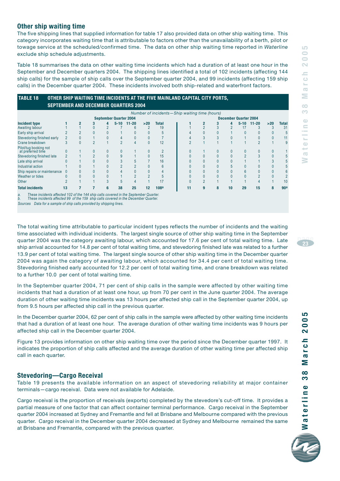#### LO **Waterline 38 March 2005**  $\Rightarrow$  $\bigcirc$  $\overline{\mathbf{C}}$  $\equiv$  $\bigcirc$  $\bar{\Sigma}$  $\overline{\sigma}$  $\geq$  $\infty$ CO  $\bigoplus$  $\equiv$  $\mathbf{R}$  $\oplus$  $\overline{a}$ ₹

#### **Other ship waiting time**

The five shipping lines that supplied information for table 17 also provided data on other ship waiting time. This category incorporates waiting time that is attributable to factors other than the unavailability of a berth, pilot or towage service at the scheduled/confirmed time. The data on other ship waiting time reported in *Waterline* exclude ship schedule adjustments.

Table 18 summarises the data on other waiting time incidents which had a duration of at least one hour in the September and December quarters 2004. The shipping lines identified a total of 102 incidents (affecting 144 ship calls) for the sample of ship calls over the September quarter 2004, and 99 incidents (affecting 159 ship calls) in the December quarter 2004. These incidents involved both ship-related and waterfront factors.

| <b>SEPTEMBER AND DECEMBER QUARTERS 2004</b> |    |  |   |          |                               |       |                                                 |  |   |   |    |                              |           |     |                 |
|---------------------------------------------|----|--|---|----------|-------------------------------|-------|-------------------------------------------------|--|---|---|----|------------------------------|-----------|-----|-----------------|
|                                             |    |  |   |          |                               |       | Number of incidents - Ship waiting time (hours) |  |   |   |    |                              |           |     |                 |
|                                             |    |  |   |          | <b>September Quarter 2004</b> |       |                                                 |  |   |   |    | <b>December Quarter 2004</b> |           |     |                 |
| Incident type                               |    |  | 4 | $5 - 10$ | $11 - 20$                     | $>20$ | <b>Total</b>                                    |  |   |   | 4  | $5 - 10$                     | $11 - 20$ | >20 | <b>Total</b>    |
| Awaiting labour                             |    |  |   |          |                               |       | 19                                              |  |   |   |    |                              |           |     | 31              |
| Early ship arrival                          |    |  |   |          |                               |       |                                                 |  |   |   |    |                              |           |     |                 |
| Stevedoring finished early                  |    |  |   |          |                               |       |                                                 |  |   |   |    |                              |           |     | 11              |
| Crane breakdown                             |    |  |   |          |                               | 0     | 12                                              |  |   |   |    |                              |           |     |                 |
| Pilot/tug booking not<br>at preferred time  |    |  |   |          |                               | 0     |                                                 |  |   |   |    |                              |           |     |                 |
| Stevedoring finished late                   |    |  |   |          |                               |       | 15                                              |  |   |   |    |                              |           |     |                 |
| Late ship arrival                           |    |  |   |          |                               |       | 16                                              |  |   |   |    |                              |           |     |                 |
| Industrial action                           |    |  |   |          |                               |       |                                                 |  |   |   |    |                              |           |     |                 |
| Ship repairs or maintenance                 |    |  |   |          |                               |       |                                                 |  |   |   |    |                              |           |     |                 |
| Weather or tides                            |    |  |   |          |                               |       |                                                 |  |   |   |    |                              |           |     |                 |
| Other                                       |    |  |   |          |                               |       |                                                 |  |   |   |    |                              |           |     | 10              |
| <b>Total incidents</b>                      | 13 |  | 6 | 38       | 25                            | 12    | 108 <sup>a</sup>                                |  | g | я | 10 | 29                           | 15        | 8   | 90 <sup>a</sup> |
|                                             |    |  |   |          |                               |       |                                                 |  |   |   |    |                              |           |     |                 |

**TABLE 18 OTHER SHIP WAITING TIME INCIDENTS AT THE FIVE MAINLAND CAPITAL CITY PORTS,**

*a. These incidents affected 102 of the 144 ship calls covered in the September Quarter. b. These incidents affected 99 of the 159 ship calls covered in the December Quarter.*

*Sources Data for a sample of ship calls provided by shipping lines.*

The total waiting time attributable to particular incident types reflects the number of incidents and the waiting time associated with individual incidents. The largest single source of other ship waiting time in the September quarter 2004 was the category awaiting labour, which accounted for 17.6 per cent of total waiting time. Late ship arrival accounted for 14.8 per cent of total waiting time, and stevedoring finished late was related to a further 13.9 per cent of total waiting time. The largest single source of other ship waiting time in the December quarter 2004 was again the category of awaiting labour, which accounted for 34.4 per cent of total waiting time. Stevedoring finished early accounted for 12.2 per cent of total waiting time, and crane breakdown was related to a further 10.0 per cent of total waiting time.

In the September quarter 2004, 71 per cent of ship calls in the sample were affected by other waiting time incidents that had a duration of at least one hour, up from 70 per cent in the June quarter 2004. The average duration of other waiting time incidents was 13 hours per affected ship call in the September quarter 2004, up from 9.5 hours per affected ship call in the previous quarter.

In the December quarter 2004, 62 per cent of ship calls in the sample were affected by other waiting time incidents that had a duration of at least one hour. The average duration of other waiting time incidents was 9 hours per affected ship call in the December quarter 2004.

Figure 13 provides information on other ship waiting time over the period since the December quarter 1997. It indicates the proportion of ship calls affected and the average duration of other waiting time per affected ship call in each quarter.

#### **Stevedoring—Cargo Receival**

Table 19 presents the available information on an aspect of stevedoring reliability at major container terminals—cargo receival. Data were not available for Adelaide.

Cargo receival is the proportion of receivals (exports) completed by the stevedore's cut-off time. It provides a partial measure of one factor that can affect container terminal performance. Cargo receival in the September quarter 2004 increased at Sydney and Fremantle and fell at Brisbane and Melbourne compared with the previous quarter. Cargo receival in the December quarter 2004 decreased at Sydney and Melbourne remained the same at Brisbane and Fremantle, compared with the previous quarter.



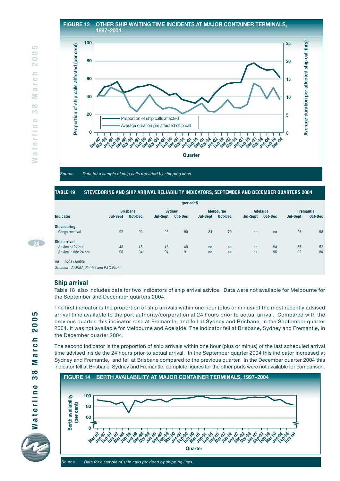#### **FIGURE 13 OTHER SHIP WAITING TIME INCIDENTS AT MAJOR CONTAINER TERMINALS, 1997–2004**



*Source Data for a sample of ship calls provided by shipping lines.*

#### **TABLE 19 STEVEDORING AND SHIP ARRIVAL RELIABILITY INDICATORS, SEPTEMBER AND DECEMBER QUARTERS 2004**

|                                       |                 |                 |                 | (per cent) |          |                  |                 |          |                 |                  |
|---------------------------------------|-----------------|-----------------|-----------------|------------|----------|------------------|-----------------|----------|-----------------|------------------|
|                                       |                 | <b>Brisbane</b> |                 | Sydney     |          | <b>Melbourne</b> |                 | Adelaide |                 | <b>Fremantle</b> |
| <b>Indicator</b>                      | <b>Jul-Sept</b> | Oct-Dec         | <b>Jul-Sept</b> | Oct-Dec    | Jul-Sept | Oct-Dec          | <b>Jul-Sept</b> | Oct-Dec  | <b>Jul-Sept</b> | Oct-Dec          |
| <b>Stevedoring</b>                    |                 |                 |                 |            |          |                  |                 |          |                 |                  |
| Cargo receival                        | 92              | 92              | 93              | 90         | 84       | 79               | na              | na       | 98              | 98               |
| <b>Ship arrival</b>                   |                 |                 |                 |            |          |                  |                 |          |                 |                  |
| Advice at 24 hrs                      | 48              | 45              | 43              | 40         | na       | na               | na              | 94       | 55              | 52               |
| Advice inside 24 hrs                  | 96              | 94              | 94              | 91         | na       | na               | na              | 96       | 92              | 86               |
| not available<br>na                   |                 |                 |                 |            |          |                  |                 |          |                 |                  |
| Sources AAPMA, Patrick and P&O Ports. |                 |                 |                 |            |          |                  |                 |          |                 |                  |

#### **Ship arrival**

Table 18 also includes data for two indicators of ship arrival advice. Data were not available for Melbourne for the September and December quarters 2004.

The first indicator is the proportion of ship arrivals within one hour (plus or minus) of the most recently advised arrival time available to the port authority/corporation at 24 hours prior to actual arrival. Compared with the previous quarter, this indicator rose at Fremantle, and fell at Sydney and Brisbane, in the September quarter 2004. It was not available for Melbourne and Adelaide. The indicator fell at Brisbane, Sydney and Fremantle, in the December quarter 2004.

The second indicator is the proportion of ship arrivals within one hour (plus or minus) of the last scheduled arrival time advised inside the 24 hours prior to actual arrival. In the September quarter 2004 this indicator increased at Sydney and Fremantle, and fell at Brisbane compared to the previous quarter. In the December quarter 2004 this indicator fell at Brisbane, Sydney and Fremantle, complete figures for the other ports were not available for comparison.



**page24**

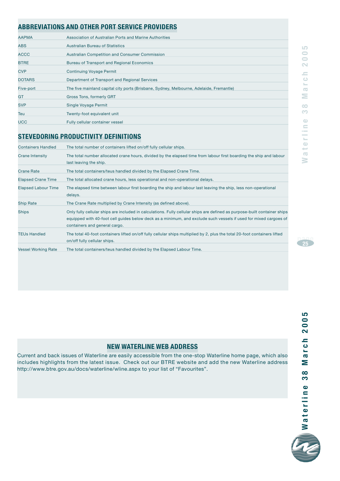#### **ABBREVIATIONS AND OTHER PORT SERVICE PROVIDERS**

| <b>AAPMA</b>  | Association of Australian Ports and Marine Authorities                                  |
|---------------|-----------------------------------------------------------------------------------------|
| ABS           | <b>Australian Bureau of Statistics</b>                                                  |
| <b>ACCC</b>   | Australian Competition and Consumer Commission                                          |
| <b>BTRE</b>   | Bureau of Transport and Regional Economics                                              |
| <b>CVP</b>    | <b>Continuing Voyage Permit</b>                                                         |
| <b>DOTARS</b> | Department of Transport and Regional Services                                           |
| Five-port     | The five mainland capital city ports (Brisbane, Sydney, Melbourne, Adelaide, Fremantle) |
| GT            | Gross Tons, formerly GRT                                                                |
| <b>SVP</b>    | Single Voyage Permit                                                                    |
| Teu           | Twenty-foot equivalent unit                                                             |
| <b>UCC</b>    | Fully cellular container vessel                                                         |
|               |                                                                                         |

#### **STEVEDORING PRODUCTIVITY DEFINITIONS**

| <b>Containers Handled</b>  | The total number of containers lifted on/off fully cellular ships.                                                                                                                                                                                                             |
|----------------------------|--------------------------------------------------------------------------------------------------------------------------------------------------------------------------------------------------------------------------------------------------------------------------------|
| Crane Intensity            | The total number allocated crane hours, divided by the elapsed time from labour first boarding the ship and labour<br>last leaving the ship.                                                                                                                                   |
| <b>Crane Rate</b>          | The total containers/teus handled divided by the Elapsed Crane Time.                                                                                                                                                                                                           |
| <b>Elapsed Crane Time</b>  | The total allocated crane hours, less operational and non-operational delays.                                                                                                                                                                                                  |
| <b>Elapsed Labour Time</b> | The elapsed time between labour first boarding the ship and labour last leaving the ship, less non-operational<br>delays.                                                                                                                                                      |
| <b>Ship Rate</b>           | The Crane Rate multiplied by Crane Intensity (as defined above).                                                                                                                                                                                                               |
| <b>Ships</b>               | Only fully cellular ships are included in calculations. Fully cellular ships are defined as purpose-built container ships<br>equipped with 40-foot cell guides below deck as a minimum, and exclude such vessels if used for mixed cargoes of<br>containers and general cargo. |
| <b>TEUs Handled</b>        | The total 40-foot containers lifted on/off fully cellular ships multiplied by 2, plus the total 20-foot containers lifted<br>on/off fully cellular ships.                                                                                                                      |
| <b>Vessel Working Rate</b> | The total containers/teus handled divided by the Elapsed Labour Time.                                                                                                                                                                                                          |

#### **Waterline 38 March 2005**  $\overline{0}$  $\overline{\mathbf{N}}$  $=$  $\overline{\circ}$  $\mathbb{L}_{\mathbb{R}}$  $\overline{\infty}$ Ξ  $\infty$  $\mathcal{O}^{\bullet}$  $\bigcirc$ aterlin  $\leq$

LO

**page <sup>25</sup>**

#### **NEW WATERLINE WEB ADDRESS**

Current and back issues of Waterline are easily accessible from the one-stop Waterline home page, which also includes highlights from the latest issue. Check out our BTRE website and add the new Waterline address http://www.btre.gov.au/docs/waterline/wline.aspx to your list of "Favourites".

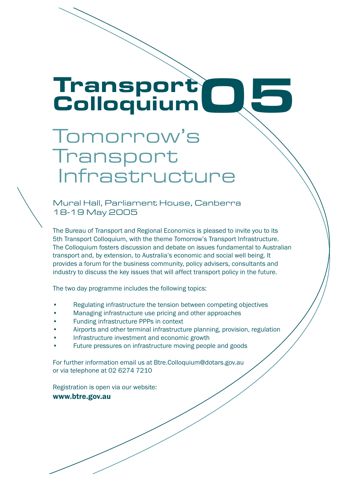# Transport<br>ColloquiumQG

## Transport Infrastructure Tomorrow's

18-19 May 2005 Mural Hall, Parliament House, Canberra

The Bureau of Transport and Regional Economics is pleased to invite you to its 5th Transport Colloquium, with the theme Tomorrow's Transport Infrastructure. The Colloquium fosters discussion and debate on issues fundamental to Australian transport and, by extension, to Australia's economic and social well being. It provides a forum for the business community, policy advisers, consultants and industry to discuss the key issues that will affect transport policy in the future.

The two day programme includes the following topics:

- Regulating infrastructure the tension between competing objectives
- Managing infrastructure use pricing and other approaches
- Funding infrastructure PPPs in context
- Airports and other terminal infrastructure planning, provision, regulation
- Infrastructure investment and economic growth
- Future pressures on infrastructure moving people and goods

For further information email us at Btre.Colloquium@dotars.gov.au or via telephone at 02 6274 7210

Registration is open via our website: www.berger.com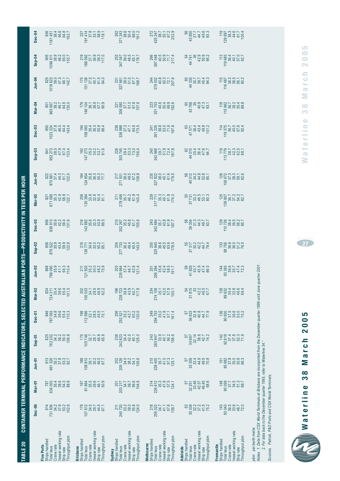| $349040$<br>$790040$<br>846<br>948<br>948<br>198<br>112 586<br>112 52 1<br>45 5<br>10 1<br>70 1<br>$\begin{array}{r} 206 \\ 252 \\ 35.2 \\ 42.7 \\ 60.2 \\ 130.0 \\ \end{array}$<br>294 753<br>35.0<br>41.9<br>57.1<br>161.4<br>36 633<br>32.8<br>36 44 7<br>36 633<br>136<br>Dec-01<br>249<br>57<br>$349000$<br>$39000$<br>$0000$<br>175<br>105 746<br>32.7<br>46.8<br>46.8<br>46.8<br>208<br>242 823<br>34.4<br>42.5<br>125.0<br>125.0<br>243<br>285 947<br>33.9<br>40.7<br>56.2<br>156.6<br>34 867<br>32.14<br>38.6<br>74.2<br>74.2<br>$Sep-01$<br>825<br>762 202<br>142<br>57<br>813<br>661 326<br>661 35.2<br>53.3<br>53.7<br>108 810<br>35.1<br>30.2<br>46.5<br>67.7<br>205 126<br>34.0<br>38.2<br>105.6<br>105.6<br>215<br>228 400<br>41.0<br>41.0<br>57.3<br>125.1<br>202<br>151<br>Jun-01 | CONTAINER TERMINAL PERFORMANCE INDICATORS, SELECTED AUST<br>Mar-02<br>$75000$<br>$75000$<br>$7500$<br>196<br>228723<br>36.8<br>43.9<br>43.9<br>117.8<br>274 108<br>35.1<br>42.0<br>57.9<br>150.1<br>$300000$<br>$00000$<br>$00000$<br>100 033<br>54<br>31 815<br>4467<br>4467<br>824<br>724 311<br>234<br>33 | $J$ un-02<br>$\begin{array}{c} 211 \\ 219 \\ 35.2 \\ 36.3 \\ 48.9 \\ 75.9 \\ \end{array}$<br>251<br>295 284<br>42 4 5 5<br>58 4 5 5<br>161 7<br>59<br>41829<br>41829<br>41829<br>41829<br>203<br>235 664<br>37.4<br>46.7<br>46.7<br>121.4<br>868<br>788 090<br>35.9<br>41.1<br>56.3<br>110.4 | 250<br>325 945<br>36 45.5<br>45.6<br>178.5<br>$Sep-02$<br>858<br>876 522<br>876 534 9.8<br>876 59.8<br>216<br>136 771<br>136 34.0<br>85.1<br>85.1<br>$27773336.249.465.5143.0$<br>37 317<br>30.2<br>31 317<br>55<br>55<br>55<br>55<br>55<br><b>ALIAN PORTS</b> | PRODUCTIVIT<br>Dec-02<br>216<br>2882<br>143 882<br>143 883<br>39.3<br>856<br>938 913<br>936 92 2<br>42 39 4<br>131.6<br>$\begin{array}{c} 210 \\ 202 \\ 267 \\ 35.2 \\ 45.8 \\ 61.7 \\ 61.7 \\ 61.7 \\ 155.6 \\ \end{array}$<br>58<br>59 354<br>59 354<br>59 35.7<br>58 35.7 | $Mar-03$<br>206<br>130 384<br>130 383 6<br>50 4 4 5<br>81 5<br>81 5<br>$3777780$<br>$3777780$<br>$3677780$<br>$3777780$<br>$377790$<br>$377990$<br>$377990$<br>$377990$<br>$3890$<br>$39900$<br>$871$ $871$ $089$ $42.9$ $12.8$ $12.7$ $12.7$<br>211<br>278 456<br>35.7<br>46.2<br>443.4 | $Jun-03$<br>58<br>501219.85<br>400144585.1<br>870 861<br>37.4<br>37.4<br>44.3<br>42.7<br>122.0<br>$12485412485435.335.377.7$<br>$271501$ $49.5$ $67.2$ $138.0$ $67.2$ $139.8$<br>235<br>327 822<br>45.1<br>61.6<br>179.5<br>$7873776$<br><b>TEUS PER HOUR</b><br>$\overline{8}$<br>$\begin{array}{r} 125 \\ 106 \\ 80 \\ 36 \\ 7 \\ 37 \\ 24 \\ 32 \\ 7 \\ 82 \\ \end{array}$<br>$110 726$ $110 726$ $38.5$ $56.7$ $56.5$<br>$\begin{array}{c} 133 \\ 98 \\ 36.8 \\ 36.0 \\ 51.5 \\ 76. \\ \end{array}$<br>$333800747$ $39300747$ $39300747$ | $\begin{array}{r} 192 \\ 147 \\ 25.0 \\ 35.0 \\ 53.7 \\ 91.6 \\ \hline \end{array}$<br>$113 779113 74 038.742.368.138.1$<br>$Sep-03$<br>841<br>952 273<br>952 273<br>47.93.4<br>133.4<br>228<br>303 745<br>39.4<br>53.3<br>73.0<br>156.4 | Dec-03<br>850<br>1023 224<br>37.8<br>46.5<br>443.4<br>238<br>336 988<br>47.1<br>47.1<br>64.8<br>173.5<br>$\begin{array}{c} 241 \\ 361 \\ 225 \\ 53.0 \\ 53.0 \\ 71.8 \\ 197.8 \end{array}$<br>$475744902$ $475744902$ $475744902$<br>$119 375$ $36.7$ $36.7$ $36.7$ $36.7$ $36.7$ $36.7$ | $351\,753\n40.6\n50.4\n192.6\n192.6$<br><b>Mar-04</b><br>$963667\n38.2\n46.7\n64.6\n135.0$<br>906<br>146 104<br>16 36 1<br>16 104<br>16 104<br>179<br>$\begin{array}{r} 221 \\ 206 \\ 306 \\ 51.7 \\ 51.0 \\ 67.8 \\ 157.6 \\ \end{array}$<br>60<br>43 768<br>40.9<br>47.3<br>47.3 | <b>Jun-04</b><br>$151$<br>$37.5$<br>$37.5$<br>$40.7$<br>$61.5$<br>$61.5$<br>60<br>44 335,7<br>44 380,7<br>45 39 45 31<br>$\begin{array}{r} 231 \\ 227 \ 661 \\ 39.0 \\ 51.0 \\ 67.7 \\ 68.7 \\ \end{array}$<br>$379\,0002\\ 40.3\\ 72.1\\ 72.1\\ 72.1\\ 8\\ 207.6$<br>$1018\begin{array}{l} 825 \\ 623 \\ 39.0 \\ 47.3 \\ 66.1 \\ 142.7 \end{array}$<br>116 | <b>TABLE 20</b> | $63400335.4635.4654.354.388.3$<br>Mar-01<br>814<br>81936<br>$347900$<br>$37900$<br>$9900$<br>$Dec-00$<br>/essel working rate<br>Throughput pbm<br>Ships handled<br><b>Five Ports</b><br>Crane rate<br><b>Total teus</b><br>Ship rate | $107812$ $34.0$ $34.0$ $44.5$ $67.1$<br>/essel working rate<br>Throughput pbm<br>Brisbane<br>Ships handled<br>Crane rate<br>otal teus<br>Ship rate | 203 217<br>34.7<br>39.7<br>56.6<br>104.6<br>$240\,720\n33.2\n55.0\n124.0$<br>/essel working rate<br>Throughput pbm<br>Ships handled<br>Crane rate<br><b>Total teus</b><br>Ship rate<br>Sydney | $226614$<br>$35.3$<br>$41.5$<br>$57.5$<br>$124.1$<br>218<br>255 022<br>34.7<br>57.6<br>57.6<br>57.6<br>/essel working rate<br>hroughput pbm<br>Ships handled<br>Melbourne<br>Crane rate<br>Total teus<br>Ship rate | 32 251<br>33.46<br>46.45<br>46.45<br>68.6<br>57<br>63<br>/essel working rate<br>Throughput pbm<br>Ships handled<br>Crane rate<br>otal teus<br>Adelaide<br>Ship rate | 148<br>90 059<br>97 7 4 5<br>90 059<br>69 7<br>69 7<br>$33043$<br>$39506$<br>$3950$<br>$720$<br>$720$<br>Vessel working rate<br>Ships handled<br>Fremantle<br>Crane rate<br><b>Total teus</b> |
|----------------------------------------------------------------------------------------------------------------------------------------------------------------------------------------------------------------------------------------------------------------------------------------------------------------------------------------------------------------------------------------------------------------------------------------------------------------------------------------------------------------------------------------------------------------------------------------------------------------------------------------------------------------------------------------------------------------------------------------------------------------------------------------------------|--------------------------------------------------------------------------------------------------------------------------------------------------------------------------------------------------------------------------------------------------------------------------------------------------------------|----------------------------------------------------------------------------------------------------------------------------------------------------------------------------------------------------------------------------------------------------------------------------------------------|----------------------------------------------------------------------------------------------------------------------------------------------------------------------------------------------------------------------------------------------------------------|------------------------------------------------------------------------------------------------------------------------------------------------------------------------------------------------------------------------------------------------------------------------------|------------------------------------------------------------------------------------------------------------------------------------------------------------------------------------------------------------------------------------------------------------------------------------------|----------------------------------------------------------------------------------------------------------------------------------------------------------------------------------------------------------------------------------------------------------------------------------------------------------------------------------------------------------------------------------------------------------------------------------------------------------------------------------------------------------------------------------------------|------------------------------------------------------------------------------------------------------------------------------------------------------------------------------------------------------------------------------------------|------------------------------------------------------------------------------------------------------------------------------------------------------------------------------------------------------------------------------------------------------------------------------------------|------------------------------------------------------------------------------------------------------------------------------------------------------------------------------------------------------------------------------------------------------------------------------------|-------------------------------------------------------------------------------------------------------------------------------------------------------------------------------------------------------------------------------------------------------------------------------------------------------------------------------------------------------------|-----------------|--------------------------------------------------------------------------------------------------------------------------------------------------------------------------------------------------------------------------------------|----------------------------------------------------------------------------------------------------------------------------------------------------|-----------------------------------------------------------------------------------------------------------------------------------------------------------------------------------------------|--------------------------------------------------------------------------------------------------------------------------------------------------------------------------------------------------------------------|---------------------------------------------------------------------------------------------------------------------------------------------------------------------|-----------------------------------------------------------------------------------------------------------------------------------------------------------------------------------------------|
|                                                                                                                                                                                                                                                                                                                                                                                                                                                                                                                                                                                                                                                                                                                                                                                                    |                                                                                                                                                                                                                                                                                                              |                                                                                                                                                                                                                                                                                              |                                                                                                                                                                                                                                                                |                                                                                                                                                                                                                                                                              |                                                                                                                                                                                                                                                                                          |                                                                                                                                                                                                                                                                                                                                                                                                                                                                                                                                              |                                                                                                                                                                                                                                          |                                                                                                                                                                                                                                                                                          |                                                                                                                                                                                                                                                                                    |                                                                                                                                                                                                                                                                                                                                                             |                 |                                                                                                                                                                                                                                      |                                                                                                                                                    |                                                                                                                                                                                               |                                                                                                                                                                                                                    |                                                                                                                                                                     |                                                                                                                                                                                               |
|                                                                                                                                                                                                                                                                                                                                                                                                                                                                                                                                                                                                                                                                                                                                                                                                    |                                                                                                                                                                                                                                                                                                              |                                                                                                                                                                                                                                                                                              |                                                                                                                                                                                                                                                                |                                                                                                                                                                                                                                                                              |                                                                                                                                                                                                                                                                                          |                                                                                                                                                                                                                                                                                                                                                                                                                                                                                                                                              |                                                                                                                                                                                                                                          |                                                                                                                                                                                                                                                                                          |                                                                                                                                                                                                                                                                                    |                                                                                                                                                                                                                                                                                                                                                             |                 |                                                                                                                                                                                                                                      |                                                                                                                                                    |                                                                                                                                                                                               |                                                                                                                                                                                                                    |                                                                                                                                                                     | 92819<br>37.4<br>37.8<br>52.3<br>71.9                                                                                                                                                         |
|                                                                                                                                                                                                                                                                                                                                                                                                                                                                                                                                                                                                                                                                                                                                                                                                    |                                                                                                                                                                                                                                                                                                              |                                                                                                                                                                                                                                                                                              |                                                                                                                                                                                                                                                                |                                                                                                                                                                                                                                                                              |                                                                                                                                                                                                                                                                                          |                                                                                                                                                                                                                                                                                                                                                                                                                                                                                                                                              |                                                                                                                                                                                                                                          |                                                                                                                                                                                                                                                                                          |                                                                                                                                                                                                                                                                                    |                                                                                                                                                                                                                                                                                                                                                             |                 |                                                                                                                                                                                                                                      |                                                                                                                                                    |                                                                                                                                                                                               |                                                                                                                                                                                                                    |                                                                                                                                                                     | 90 600<br>37.6<br>90 36.00<br>90 20 30                                                                                                                                                        |
| $\begin{array}{r} 905 \\ 906 \\ 38.9 \\ 46.2 \\ 65.0 \\ 153.7 \end{array}$<br>$\begin{array}{r} 219 \\ 219 \\ 37.7 \\ 36.9 \\ 36.9 \\ 117.0 \\ \end{array}$<br>253<br>347 047<br>48.5<br>48.51<br>65.1<br>178.7<br>266<br>397 048<br>40.5<br>50.9<br>717.4<br>217.4<br>54<br>44 741<br>44 740<br>4009<br>5002<br>54<br>54 7<br>$119883\n119683\n36.1\n40.1\n57.0\n57.0$<br>$P0-04$<br>$115967$ $3677$ $36749$ $589854$ $589858$                                                                                                                                                                                                                                                                                                                                                                    |                                                                                                                                                                                                                                                                                                              |                                                                                                                                                                                                                                                                                              |                                                                                                                                                                                                                                                                |                                                                                                                                                                                                                                                                              |                                                                                                                                                                                                                                                                                          |                                                                                                                                                                                                                                                                                                                                                                                                                                                                                                                                              |                                                                                                                                                                                                                                          |                                                                                                                                                                                                                                                                                          |                                                                                                                                                                                                                                                                                    |                                                                                                                                                                                                                                                                                                                                                             |                 | 936<br>1161 451<br>38.4<br>38.4<br>46.6<br>46.8<br>46.2<br>Dec-04                                                                                                                                                                    | $\begin{array}{r} 227 \\ 191414 \\ 37.8 \\ 53.1 \\ 68.9 \\ 119.1 \end{array}$                                                                      | 262<br>371 243<br>38 56 66<br>40 40<br>191 2.0                                                                                                                                                | $\begin{array}{r} 272 \\ 275 \\ 38.7 \\ 50.1 \\ 67.2 \\ 67.2 \\ 232.9 \\ \end{array}$                                                                                                                              | 56<br>43 850<br>43 7 7 7<br>49 6<br>49 83 3                                                                                                                         | $\begin{array}{r} 119 \\ 129 \\ 697 \\ 883 \\ 446 \\ 617 \\ 76 \\ 814 \\ 611 \\ \end{array}$                                                                                                  |

*pbm per berth metre*

pbm per berth metre<br>Notes 1. Data from CSX World Terminals at Brisbane are incorported from the December quarter 1999 until June quarter 2001.<br>2. For data back to the December quarter 1993, refer to Waterline 34." *Notes 1. Data from CSX World Terminals at Brisbane are incorported from the December quarter 1999 until June quarter 2001.*

*2. For data back to the December quarter 1993, refer to Waterline 34."*

Sources Patrick, P&O Ports and CSX World Terminals. *Sources Patrick, P&O Ports and CSX World Terminals.*



**page <sup>27</sup>**

March 2005

 $\frac{8}{3}$ 

# 2005 **Waterline 38 March 2005** March  $38$ Waterline